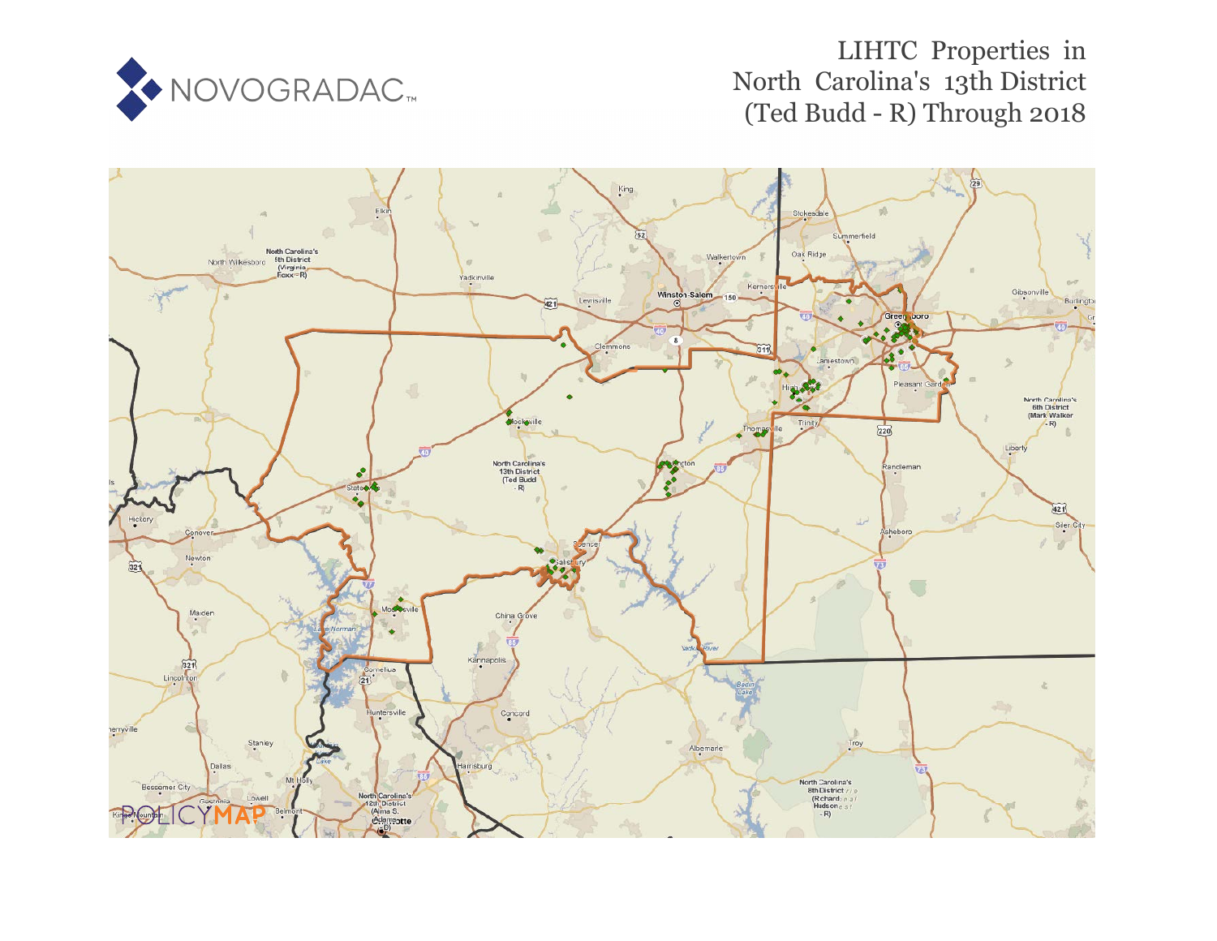

# LIHTC Properties in North Carolina's 13th District (Ted Budd - R) Through 2018

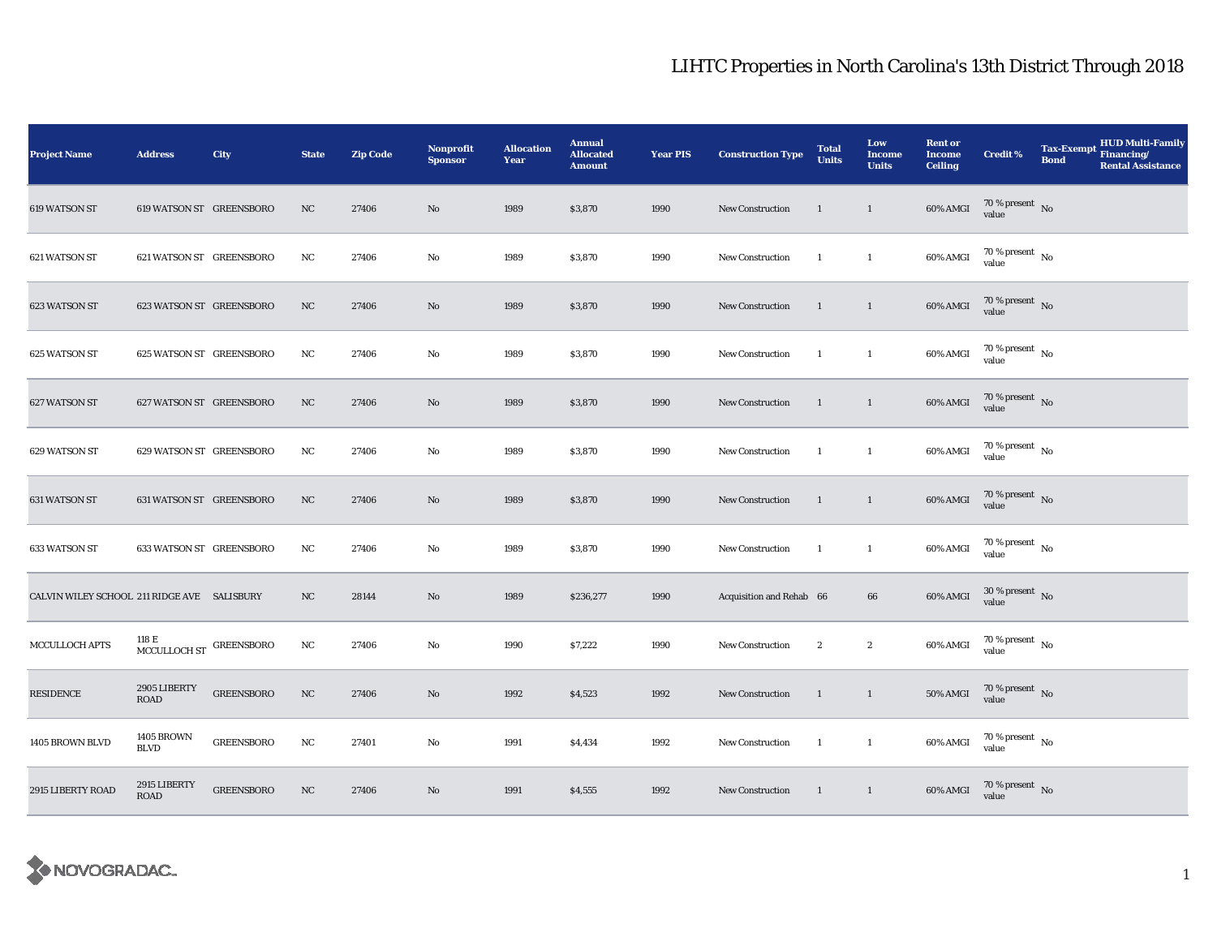| <b>Project Name</b>                         | <b>Address</b>                           | City              | <b>State</b> | <b>Zip Code</b> | <b>Nonprofit</b><br><b>Sponsor</b> | <b>Allocation</b><br>Year | <b>Annual</b><br><b>Allocated</b><br><b>Amount</b> | <b>Year PIS</b> | <b>Construction Type</b> | <b>Total</b><br><b>Units</b> | Low<br>Income<br><b>Units</b> | <b>Rent or</b><br><b>Income</b><br><b>Ceiling</b> | <b>Credit %</b>                        | <b>Tax-Exempt</b><br><b>Bond</b> | <b>HUD Multi-Family</b><br>Financing/<br><b>Rental Assistance</b> |
|---------------------------------------------|------------------------------------------|-------------------|--------------|-----------------|------------------------------------|---------------------------|----------------------------------------------------|-----------------|--------------------------|------------------------------|-------------------------------|---------------------------------------------------|----------------------------------------|----------------------------------|-------------------------------------------------------------------|
| 619 WATSON ST                               | 619 WATSON ST GREENSBORO                 |                   | NC           | 27406           | No                                 | 1989                      | \$3,870                                            | 1990            | <b>New Construction</b>  | -1                           | $\mathbf{1}$                  | 60% AMGI                                          | $70\,\%$ present $\,$ No value         |                                  |                                                                   |
| 621 WATSON ST                               | 621 WATSON ST GREENSBORO                 |                   | NC           | 27406           | No                                 | 1989                      | \$3,870                                            | 1990            | New Construction         | -1                           | $\mathbf{1}$                  | 60% AMGI                                          | $70\,\%$ present $\,$ No $\,$<br>value |                                  |                                                                   |
| 623 WATSON ST                               | 623 WATSON ST GREENSBORO                 |                   | NC           | 27406           | No                                 | 1989                      | \$3,870                                            | 1990            | New Construction         | -1                           | $\mathbf{1}$                  | 60% AMGI                                          | $70\,\%$ present $\,$ No value         |                                  |                                                                   |
| 625 WATSON ST                               | 625 WATSON ST GREENSBORO                 |                   | NC           | 27406           | No                                 | 1989                      | \$3,870                                            | 1990            | New Construction         | <sup>1</sup>                 | $\mathbf{1}$                  | 60% AMGI                                          | 70 % present $\hbox{~No}$<br>value     |                                  |                                                                   |
| 627 WATSON ST                               | 627 WATSON ST GREENSBORO                 |                   | NC           | 27406           | No                                 | 1989                      | \$3,870                                            | 1990            | <b>New Construction</b>  | $\mathbf{1}$                 | $\mathbf{1}$                  | 60% AMGI                                          | $70\,\%$ present $\,$ No value         |                                  |                                                                   |
| 629 WATSON ST                               | 629 WATSON ST GREENSBORO                 |                   | NC           | 27406           | No                                 | 1989                      | \$3,870                                            | 1990            | New Construction         | -1                           | $\mathbf{1}$                  | 60% AMGI                                          | $70\,\%$ present $\,$ No value         |                                  |                                                                   |
| 631 WATSON ST                               | 631 WATSON ST GREENSBORO                 |                   | NC           | 27406           | No                                 | 1989                      | \$3,870                                            | 1990            | New Construction         | <sup>1</sup>                 | $\mathbf{1}$                  | 60% AMGI                                          | $70\,\%$ present $\,$ No value         |                                  |                                                                   |
| 633 WATSON ST                               | 633 WATSON ST GREENSBORO                 |                   | NC           | 27406           | No                                 | 1989                      | \$3,870                                            | 1990            | New Construction         | -1                           | $\mathbf{1}$                  | 60% AMGI                                          | $70\,\%$ present $\,$ No value         |                                  |                                                                   |
| CALVIN WILEY SCHOOL 211 RIDGE AVE SALISBURY |                                          |                   | NC           | 28144           | No                                 | 1989                      | \$236,277                                          | 1990            | Acquisition and Rehab 66 |                              | 66                            | $60\%$ AMGI                                       | $30$ % present $\,$ No $\,$<br>value   |                                  |                                                                   |
| MCCULLOCH APTS                              | ${\tt MCCULLOCH\,ST}$ ${\tt GREENSBORO}$ |                   | NC           | 27406           | No                                 | 1990                      | \$7,222                                            | 1990            | New Construction         | $\boldsymbol{2}$             | $\boldsymbol{2}$              | 60% AMGI                                          | $70$ % present $\,$ No $\,$<br>value   |                                  |                                                                   |
| <b>RESIDENCE</b>                            | 2905 LIBERTY<br><b>ROAD</b>              | <b>GREENSBORO</b> | NC           | 27406           | No                                 | 1992                      | \$4,523                                            | 1992            | <b>New Construction</b>  | -1                           | $\mathbf{1}$                  | <b>50% AMGI</b>                                   | 70 % present $\,$ No $\,$<br>value     |                                  |                                                                   |
| 1405 BROWN BLVD                             | <b>1405 BROWN</b><br><b>BLVD</b>         | <b>GREENSBORO</b> | NC           | 27401           | No                                 | 1991                      | \$4,434                                            | 1992            | New Construction         | <sup>1</sup>                 | $\mathbf{1}$                  | 60% AMGI                                          | $70\,\%$ present $\,$ No value         |                                  |                                                                   |
| 2915 LIBERTY ROAD                           | 2915 LIBERTY<br>ROAD                     | <b>GREENSBORO</b> | NC           | 27406           | No                                 | 1991                      | \$4,555                                            | 1992            | <b>New Construction</b>  | -1                           | $\overline{1}$                | 60% AMGI                                          | $70$ % present $\,$ No value           |                                  |                                                                   |

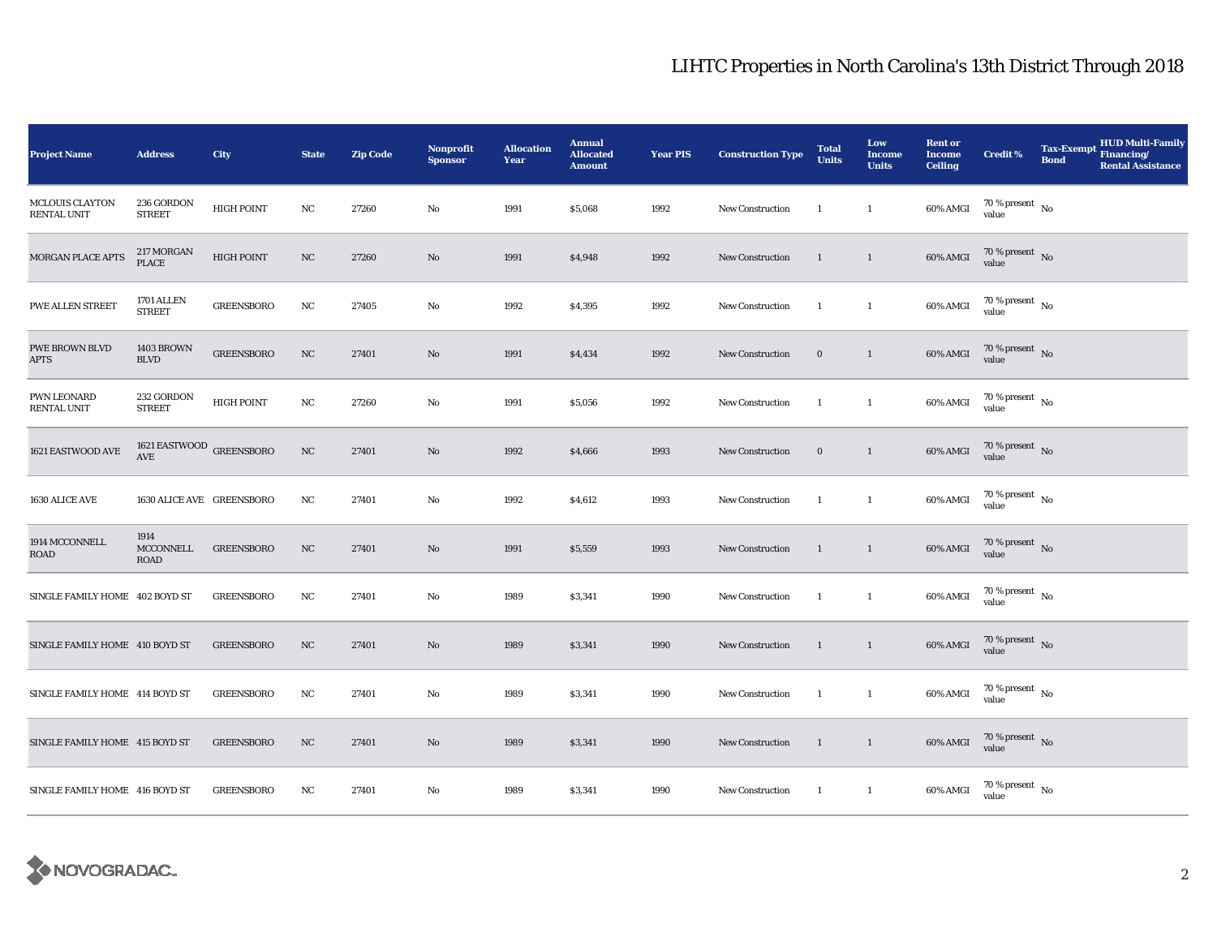| <b>Project Name</b>                   | <b>Address</b>                           | City              | <b>State</b> | <b>Zip Code</b> | Nonprofit<br><b>Sponsor</b> | <b>Allocation</b><br>Year | <b>Annual</b><br><b>Allocated</b><br><b>Amount</b> | <b>Year PIS</b> | <b>Construction Type</b> | <b>Total</b><br><b>Units</b> | Low<br><b>Income</b><br><b>Units</b> | <b>Rent or</b><br><b>Income</b><br><b>Ceiling</b> | <b>Credit %</b>                        | <b>HUD Multi-Family</b><br><b>Tax-Exempt</b><br>Financing/<br><b>Bond</b><br><b>Rental Assistance</b> |
|---------------------------------------|------------------------------------------|-------------------|--------------|-----------------|-----------------------------|---------------------------|----------------------------------------------------|-----------------|--------------------------|------------------------------|--------------------------------------|---------------------------------------------------|----------------------------------------|-------------------------------------------------------------------------------------------------------|
| <b>MCLOUIS CLAYTON</b><br>RENTAL UNIT | 236 GORDON<br><b>STREET</b>              | <b>HIGH POINT</b> | NC           | 27260           | No                          | 1991                      | \$5,068                                            | 1992            | <b>New Construction</b>  | -1                           | $\mathbf{1}$                         | 60% AMGI                                          | $70\,\%$ present $\,$ No value         |                                                                                                       |
| MORGAN PLACE APTS                     | 217 MORGAN<br><b>PLACE</b>               | <b>HIGH POINT</b> | NC           | 27260           | $\mathbf{No}$               | 1991                      | \$4,948                                            | 1992            | <b>New Construction</b>  | 1                            | $\mathbf{1}$                         | 60% AMGI                                          | $70\,\%$ present $\,$ No $\,$<br>value |                                                                                                       |
| PWE ALLEN STREET                      | 1701 ALLEN<br><b>STREET</b>              | <b>GREENSBORO</b> | NC           | 27405           | No                          | 1992                      | \$4,395                                            | 1992            | New Construction         | $\mathbf{1}$                 | $\mathbf{1}$                         | 60% AMGI                                          | $70$ % present $\,$ No $\,$<br>value   |                                                                                                       |
| <b>PWE BROWN BLVD</b><br><b>APTS</b>  | <b>1403 BROWN</b><br><b>BLVD</b>         | <b>GREENSBORO</b> | NC           | 27401           | No                          | 1991                      | \$4,434                                            | 1992            | <b>New Construction</b>  | $\bf{0}$                     | $\mathbf{1}$                         | 60% AMGI                                          | 70 % present $\hbox{~No}$<br>value     |                                                                                                       |
| PWN LEONARD<br>RENTAL UNIT            | 232 GORDON<br><b>STREET</b>              | <b>HIGH POINT</b> | NC           | 27260           | No                          | 1991                      | \$5,056                                            | 1992            | New Construction         | $\mathbf{1}$                 | $\mathbf{1}$                         | 60% AMGI                                          | $70\,\%$ present $\,$ No value         |                                                                                                       |
| 1621 EASTWOOD AVE                     | 1621 EASTWOOD $_{\rm GREENSBORO}$<br>AVE |                   | $_{\rm NC}$  | 27401           | No                          | 1992                      | \$4,666                                            | 1993            | <b>New Construction</b>  | $\bf{0}$                     | $\overline{1}$                       | $60\%$ AMGI                                       | $70\,\%$ present $\,$ No value         |                                                                                                       |
| 1630 ALICE AVE                        | 1630 ALICE AVE GREENSBORO                |                   | $_{\rm NC}$  | 27401           | No                          | 1992                      | \$4,612                                            | 1993            | New Construction         | -1                           | $\mathbf{1}$                         | 60% AMGI                                          | $70\,\%$ present $\,$ No value         |                                                                                                       |
| 1914 MCCONNELL<br>ROAD                | 1914<br>MCCONNELL<br><b>ROAD</b>         | <b>GREENSBORO</b> | NC           | 27401           | No                          | 1991                      | \$5,559                                            | 1993            | <b>New Construction</b>  | 1                            | $\mathbf{1}$                         | 60% AMGI                                          | $70\,\%$ present $\,$ No value         |                                                                                                       |
| SINGLE FAMILY HOME 402 BOYD ST        |                                          | <b>GREENSBORO</b> | NC           | 27401           | No                          | 1989                      | \$3,341                                            | 1990            | New Construction         | $\mathbf{1}$                 | $\overline{1}$                       | 60% AMGI                                          | $70$ % present $\,$ No $\,$<br>value   |                                                                                                       |
| SINGLE FAMILY HOME 410 BOYD ST        |                                          | <b>GREENSBORO</b> | NC           | 27401           | No                          | 1989                      | \$3,341                                            | 1990            | New Construction         | 1                            | $\mathbf{1}$                         | 60% AMGI                                          | $70\,\%$ present $\,$ No value         |                                                                                                       |
| SINGLE FAMILY HOME 414 BOYD ST        |                                          | <b>GREENSBORO</b> | NC           | 27401           | No                          | 1989                      | \$3,341                                            | 1990            | <b>New Construction</b>  | -1                           | $\mathbf{1}$                         | 60% AMGI                                          | 70 % present $\hbox{~No}$<br>value     |                                                                                                       |
| SINGLE FAMILY HOME 415 BOYD ST        |                                          | <b>GREENSBORO</b> | $_{\rm NC}$  | 27401           | No                          | 1989                      | \$3,341                                            | 1990            | New Construction         | $\overline{1}$               | $\overline{1}$                       | 60% AMGI                                          | $70\,\%$ present $\,$ No value         |                                                                                                       |
| SINGLE FAMILY HOME 416 BOYD ST        |                                          | <b>GREENSBORO</b> | NC           | 27401           | No                          | 1989                      | \$3,341                                            | 1990            | <b>New Construction</b>  | $\mathbf{1}$                 | $\overline{1}$                       | 60% AMGI                                          | 70 % present $\hbox{~No}$<br>value     |                                                                                                       |

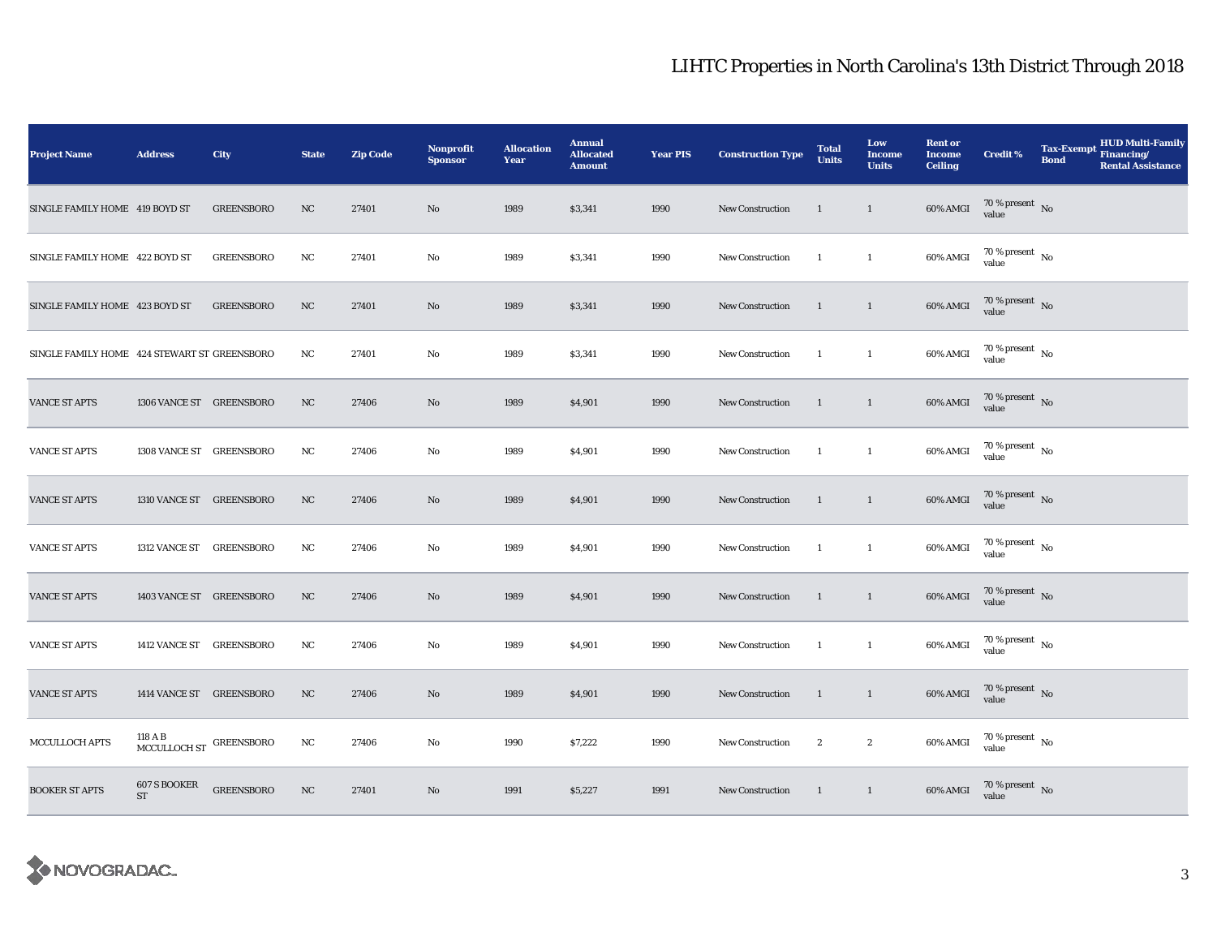| <b>Project Name</b>                          | <b>Address</b>                                      | <b>City</b>       | <b>State</b> | <b>Zip Code</b> | <b>Nonprofit</b><br><b>Sponsor</b> | <b>Allocation</b><br><b>Year</b> | <b>Annual</b><br><b>Allocated</b><br><b>Amount</b> | <b>Year PIS</b> | <b>Construction Type</b> | <b>Total</b><br><b>Units</b> | Low<br><b>Income</b><br><b>Units</b> | <b>Rent or</b><br><b>Income</b><br><b>Ceiling</b> | <b>Credit %</b>                         | <b>Tax-Exempt</b><br><b>Bond</b> | HUD Multi-Family<br>Financing/<br><b>Rental Assistance</b> |
|----------------------------------------------|-----------------------------------------------------|-------------------|--------------|-----------------|------------------------------------|----------------------------------|----------------------------------------------------|-----------------|--------------------------|------------------------------|--------------------------------------|---------------------------------------------------|-----------------------------------------|----------------------------------|------------------------------------------------------------|
| SINGLE FAMILY HOME 419 BOYD ST               |                                                     | <b>GREENSBORO</b> | NC           | 27401           | No                                 | 1989                             | \$3,341                                            | 1990            | <b>New Construction</b>  | $\overline{1}$               | $\mathbf{1}$                         | 60% AMGI                                          | $70\,\%$ present $\,$ No value          |                                  |                                                            |
| SINGLE FAMILY HOME 422 BOYD ST               |                                                     | <b>GREENSBORO</b> | $_{\rm NC}$  | 27401           | No                                 | 1989                             | \$3,341                                            | 1990            | <b>New Construction</b>  | $\overline{1}$               | $\mathbf{1}$                         | 60% AMGI                                          | $70\,\%$ present $\,$ No $\,$<br>value  |                                  |                                                            |
| SINGLE FAMILY HOME 423 BOYD ST               |                                                     | <b>GREENSBORO</b> | NC           | 27401           | No                                 | 1989                             | \$3,341                                            | 1990            | <b>New Construction</b>  | $\mathbf{1}$                 | $\mathbf{1}$                         | 60% AMGI                                          | $70\,\%$ present $\,$ No value          |                                  |                                                            |
| SINGLE FAMILY HOME 424 STEWART ST GREENSBORO |                                                     |                   | NC.          | 27401           | No                                 | 1989                             | \$3,341                                            | 1990            | <b>New Construction</b>  | $\overline{1}$               | $\mathbf{1}$                         | 60% AMGI                                          | $70\,\%$ present $\,$ No $\,$<br>value  |                                  |                                                            |
| <b>VANCE ST APTS</b>                         | 1306 VANCE ST GREENSBORO                            |                   | NC           | 27406           | No                                 | 1989                             | \$4,901                                            | 1990            | <b>New Construction</b>  | $\mathbf{1}$                 | $\mathbf{1}$                         | 60% AMGI                                          | $70\,\%$ present $\,$ No value          |                                  |                                                            |
| <b>VANCE ST APTS</b>                         | 1308 VANCE ST GREENSBORO                            |                   | NC           | 27406           | $\mathbf{No}$                      | 1989                             | \$4,901                                            | 1990            | New Construction         | $\overline{1}$               | $\mathbf{1}$                         | 60% AMGI                                          | $70$ % present $\,$ No $\,$<br>value    |                                  |                                                            |
| <b>VANCE ST APTS</b>                         | 1310 VANCE ST GREENSBORO                            |                   | NC           | 27406           | No                                 | 1989                             | \$4,901                                            | 1990            | <b>New Construction</b>  | -1                           | $\mathbf{1}$                         | 60% AMGI                                          | $70$ % present $$\rm{No}$$ value        |                                  |                                                            |
| VANCE ST APTS                                | 1312 VANCE ST GREENSBORO                            |                   | $_{\rm NC}$  | 27406           | No                                 | 1989                             | \$4,901                                            | 1990            | <b>New Construction</b>  | -1                           | $\mathbf{1}$                         | 60% AMGI                                          | $70$ % present $\,$ No value            |                                  |                                                            |
| <b>VANCE ST APTS</b>                         | 1403 VANCE ST GREENSBORO                            |                   | NC           | 27406           | No                                 | 1989                             | \$4,901                                            | 1990            | New Construction         | $\overline{1}$               | $\mathbf{1}$                         | 60% AMGI                                          | $70$ % present $\,$ No value            |                                  |                                                            |
| <b>VANCE ST APTS</b>                         | 1412 VANCE ST GREENSBORO                            |                   | NC           | 27406           | No                                 | 1989                             | \$4,901                                            | 1990            | New Construction         | $\overline{1}$               | $\mathbf{1}$                         | 60% AMGI                                          | 70 % present $\hbox{~No}$<br>value      |                                  |                                                            |
| <b>VANCE ST APTS</b>                         | 1414 VANCE ST GREENSBORO                            |                   | NC           | 27406           | No                                 | 1989                             | \$4,901                                            | 1990            | New Construction         | $\mathbf{1}$                 | $\mathbf{1}$                         | 60% AMGI                                          | $70$ % present<br>$\,$ No $\,$<br>value |                                  |                                                            |
| MCCULLOCH APTS                               | 118 A B<br>${\tt MCCULLOCH\,ST}$ ${\tt GREENSBORO}$ |                   | NC           | 27406           | No                                 | 1990                             | \$7,222                                            | 1990            | <b>New Construction</b>  | $\boldsymbol{2}$             | $\boldsymbol{2}$                     | 60% AMGI                                          | $70$ % present $\,$ No value            |                                  |                                                            |
| <b>BOOKER ST APTS</b>                        | 607 S BOOKER<br>ST                                  | <b>GREENSBORO</b> | NC           | 27401           | No                                 | 1991                             | \$5,227                                            | 1991            | <b>New Construction</b>  | $\mathbf{1}$                 | $\mathbf{1}$                         | 60% AMGI                                          | $70$ % present $\,$ No $\,$ value $\,$  |                                  |                                                            |

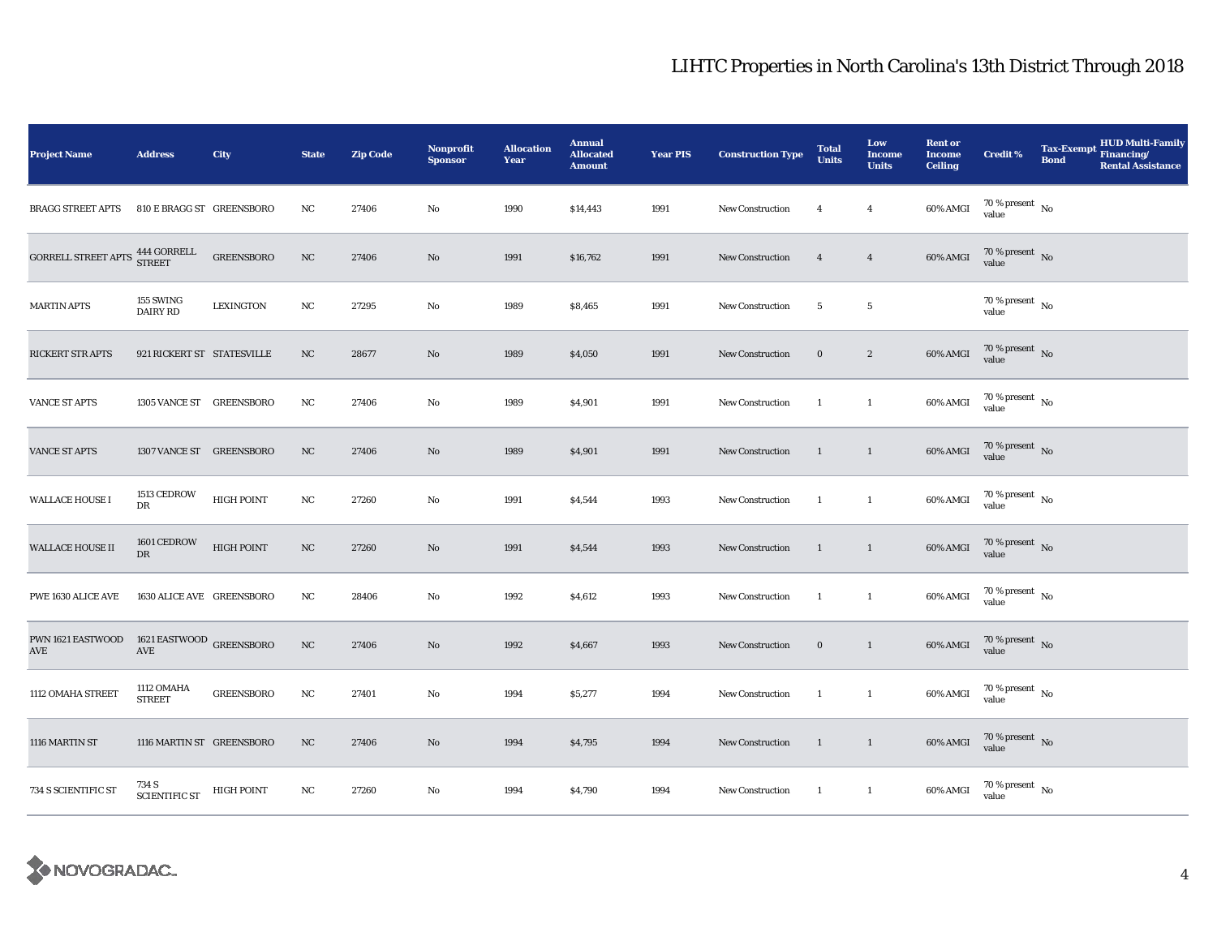| <b>Project Name</b>                                                                                                     | <b>Address</b>                        | City               | <b>State</b> | <b>Zip Code</b> | Nonprofit<br><b>Sponsor</b> | <b>Allocation</b><br>Year | <b>Annual</b><br><b>Allocated</b><br><b>Amount</b> | <b>Year PIS</b> | <b>Construction Type</b> | <b>Total</b><br><b>Units</b> | Low<br><b>Income</b><br><b>Units</b> | <b>Rent or</b><br><b>Income</b><br><b>Ceiling</b> | <b>Credit %</b>                    | <b>HUD Multi-Family</b><br>Tax-Exempt Financing/<br><b>Bond</b><br><b>Rental Assistance</b> |
|-------------------------------------------------------------------------------------------------------------------------|---------------------------------------|--------------------|--------------|-----------------|-----------------------------|---------------------------|----------------------------------------------------|-----------------|--------------------------|------------------------------|--------------------------------------|---------------------------------------------------|------------------------------------|---------------------------------------------------------------------------------------------|
| <b>BRAGG STREET APTS</b>                                                                                                | 810 E BRAGG ST GREENSBORO             |                    | NC           | 27406           | No                          | 1990                      | \$14,443                                           | 1991            | <b>New Construction</b>  | $\overline{4}$               | $\overline{4}$                       | 60% AMGI                                          | $70\,\%$ present $\,$ No value     |                                                                                             |
| $\begin{array}{ll} \textbf{GORRELL STREF APTS} & \textbf{444 GORRELL} \\ \textbf{STREET} & \textbf{STREET} \end{array}$ |                                       | ${\tt GREENSBORO}$ | NC           | 27406           | No                          | 1991                      | \$16,762                                           | 1991            | <b>New Construction</b>  | $\overline{4}$               | $\overline{4}$                       | 60% AMGI                                          | $70\%$ present No<br>value         |                                                                                             |
| <b>MARTIN APTS</b>                                                                                                      | 155 SWING<br>DAIRY RD                 | <b>LEXINGTON</b>   | NC           | 27295           | No                          | 1989                      | \$8,465                                            | 1991            | <b>New Construction</b>  | $5\phantom{.0}$              | $5\phantom{.0}$                      |                                                   | 70 % present $\hbox{~No}$<br>value |                                                                                             |
| RICKERT STR APTS                                                                                                        | 921 RICKERT ST STATESVILLE            |                    | NC           | 28677           | No                          | 1989                      | \$4,050                                            | 1991            | <b>New Construction</b>  | $\bf{0}$                     | $\sqrt{2}$                           | $60\%$ AMGI                                       | $70\,\%$ present $\,$ No value     |                                                                                             |
| VANCE ST APTS                                                                                                           | 1305 VANCE ST GREENSBORO              |                    | NC           | 27406           | No                          | 1989                      | \$4,901                                            | 1991            | <b>New Construction</b>  | $\overline{1}$               | $\mathbf{1}$                         | 60% AMGI                                          | $70\,\%$ present $\,$ No value     |                                                                                             |
| <b>VANCE ST APTS</b>                                                                                                    | 1307 VANCE ST GREENSBORO              |                    | NC           | 27406           | No                          | 1989                      | \$4,901                                            | 1991            | <b>New Construction</b>  | $\mathbf{1}$                 | $\mathbf{1}$                         | 60% AMGI                                          | $70$ % present $_{\rm{No}}$        |                                                                                             |
| <b>WALLACE HOUSE I</b>                                                                                                  | 1513 CEDROW<br>DR                     | <b>HIGH POINT</b>  | NC           | 27260           | No                          | 1991                      | \$4,544                                            | 1993            | New Construction         | $\mathbf{1}$                 | $\mathbf{1}$                         | 60% AMGI                                          | $70$ % present $\,$ No value       |                                                                                             |
| <b>WALLACE HOUSE II</b>                                                                                                 | 1601 CEDROW<br>$\mathbf{D}\mathbf{R}$ | <b>HIGH POINT</b>  | $_{\rm NC}$  | 27260           | No                          | 1991                      | \$4,544                                            | 1993            | <b>New Construction</b>  | $\mathbf{1}$                 | $\mathbf{1}$                         | 60% AMGI                                          | $70$ % present $\,$ No value       |                                                                                             |
| PWE 1630 ALICE AVE                                                                                                      | 1630 ALICE AVE GREENSBORO             |                    | NC           | 28406           | No                          | 1992                      | \$4,612                                            | 1993            | New Construction         | $\mathbf{1}$                 | $\mathbf{1}$                         | 60% AMGI                                          | $70$ % present $\,$ No value       |                                                                                             |
| <b>PWN 1621 EASTWOOD 1621 EASTWOOD GREENSBORO</b><br>$\operatorname{AVE}$                                               | AVE                                   |                    | $_{\rm NC}$  | 27406           | No                          | 1992                      | \$4,667                                            | 1993            | <b>New Construction</b>  | $\bf{0}$                     | $\mathbf{1}$                         | 60% AMGI                                          | $70$ % present $\,$ No value       |                                                                                             |
| 1112 OMAHA STREET                                                                                                       | 1112 OMAHA<br><b>STREET</b>           | <b>GREENSBORO</b>  | NC           | 27401           | No                          | 1994                      | \$5,277                                            | 1994            | <b>New Construction</b>  | -1                           | $\mathbf{1}$                         | 60% AMGI                                          | $70\,\%$ present $\,$ No value     |                                                                                             |
| 1116 MARTIN ST                                                                                                          | 1116 MARTIN ST GREENSBORO             |                    | NC           | 27406           | No                          | 1994                      | \$4,795                                            | 1994            | New Construction         | $\overline{1}$               | $\overline{1}$                       | 60% AMGI                                          | $70$ % present $\,$ No value       |                                                                                             |
| 734 S SCIENTIFIC ST                                                                                                     | 734 S<br>SCIENTIFIC ST                | HIGH POINT         | NC           | 27260           | No                          | 1994                      | \$4,790                                            | 1994            | <b>New Construction</b>  | -1                           | $\mathbf{1}$                         | 60% AMGI                                          | $70$ % present $$\rm{No}$$ value   |                                                                                             |

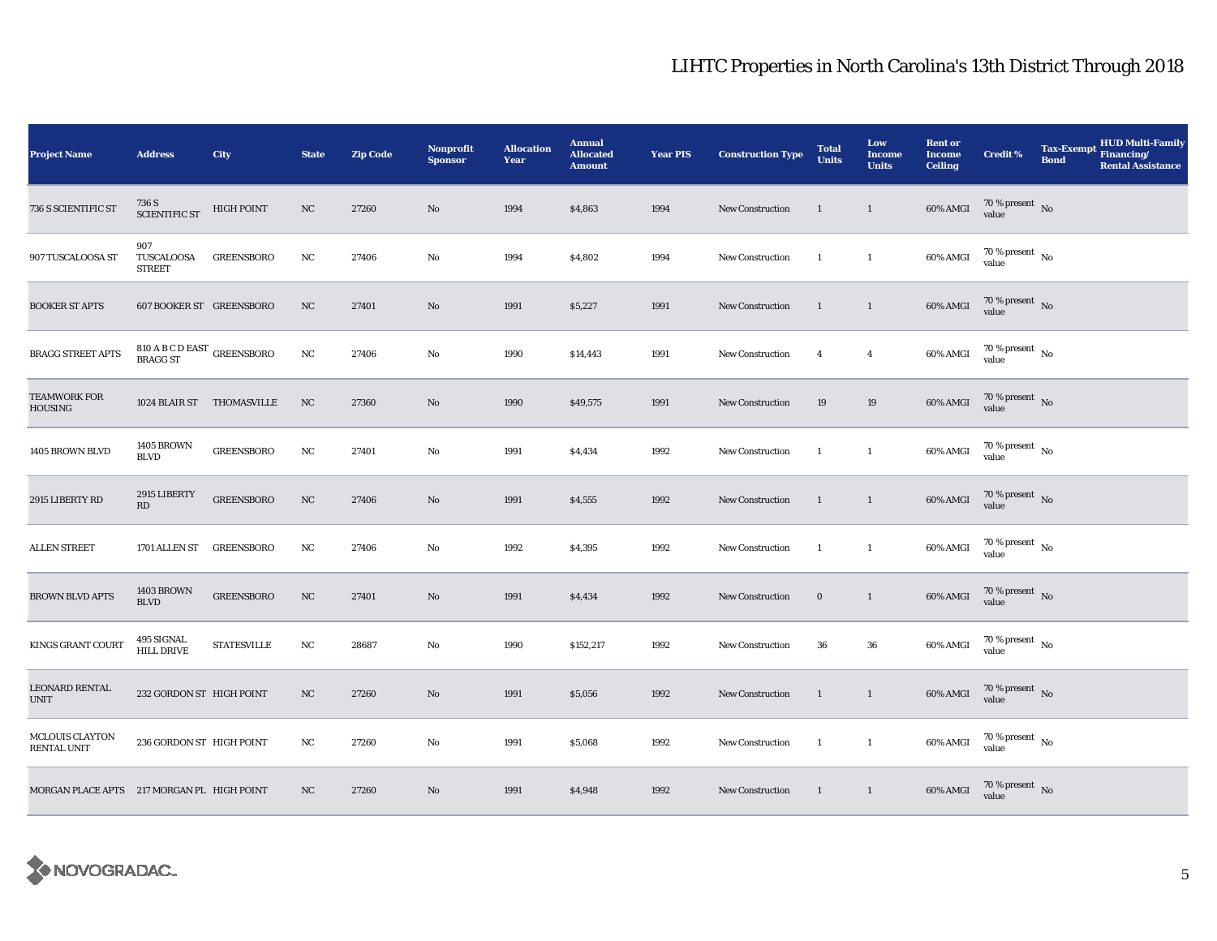| <b>Project Name</b>                          | <b>Address</b>                                  | <b>City</b>        | <b>State</b> | <b>Zip Code</b> | Nonprofit<br><b>Sponsor</b> | <b>Allocation</b><br>Year | <b>Annual</b><br><b>Allocated</b><br><b>Amount</b> | <b>Year PIS</b> | <b>Construction Type</b> | <b>Total</b><br><b>Units</b> | Low<br><b>Income</b><br><b>Units</b> | <b>Rent or</b><br><b>Income</b><br><b>Ceiling</b> | <b>Credit %</b>                        | <b>HUD Multi-Family</b><br><b>Tax-Exempt</b><br>Financing/<br><b>Bond</b><br><b>Rental Assistance</b> |
|----------------------------------------------|-------------------------------------------------|--------------------|--------------|-----------------|-----------------------------|---------------------------|----------------------------------------------------|-----------------|--------------------------|------------------------------|--------------------------------------|---------------------------------------------------|----------------------------------------|-------------------------------------------------------------------------------------------------------|
| 736 S SCIENTIFIC ST                          | 736 S<br><b>SCIENTIFIC ST</b>                   | <b>HIGH POINT</b>  | NC           | 27260           | $\mathbf{N}\mathbf{o}$      | 1994                      | \$4,863                                            | 1994            | New Construction         | $\mathbf{1}$                 | $\mathbf{1}$                         | 60% AMGI                                          | $70\,\%$ present $\,$ No value         |                                                                                                       |
| 907 TUSCALOOSA ST                            | 907<br>TUSCALOOSA<br><b>STREET</b>              | <b>GREENSBORO</b>  | NC           | 27406           | No                          | 1994                      | \$4,802                                            | 1994            | <b>New Construction</b>  | -1                           | $\mathbf{1}$                         | 60% AMGI                                          | $70\,\%$ present $\,$ No $\,$<br>value |                                                                                                       |
| <b>BOOKER ST APTS</b>                        | 607 BOOKER ST GREENSBORO                        |                    | NC           | 27401           | $\mathbf{N}\mathbf{o}$      | 1991                      | \$5,227                                            | 1991            | New Construction         | $\mathbf{1}$                 | $\mathbf{1}$                         | 60% AMGI                                          | $70\,\%$ present $\,$ No value         |                                                                                                       |
| <b>BRAGG STREET APTS</b>                     | $810$ A B C D EAST $$\sf{G}$ REENSBORO BRAGG ST |                    | NC           | 27406           | $\mathbf{No}$               | 1990                      | \$14,443                                           | 1991            | <b>New Construction</b>  | $\overline{4}$               | $\overline{4}$                       | 60% AMGI                                          | 70 % present $\hbox{~No}$<br>value     |                                                                                                       |
| <b>TEAMWORK FOR</b><br><b>HOUSING</b>        | 1024 BLAIR ST THOMASVILLE                       |                    | $_{\rm NC}$  | 27360           | No                          | 1990                      | \$49,575                                           | 1991            | <b>New Construction</b>  | 19                           | 19                                   | 60% AMGI                                          | $70\,\%$ present $\,$ No $\,$<br>value |                                                                                                       |
| 1405 BROWN BLVD                              | <b>1405 BROWN</b><br><b>BLVD</b>                | <b>GREENSBORO</b>  | NC           | 27401           | $\mathbf{No}$               | 1991                      | \$4,434                                            | 1992            | New Construction         | -1                           | $\mathbf{1}$                         | 60% AMGI                                          | $70\,\%$ present $\,$ No value         |                                                                                                       |
| 2915 LIBERTY RD                              | 2915 LIBERTY<br>RD                              | <b>GREENSBORO</b>  | $_{\rm NC}$  | 27406           | $\mathbf{N}\mathbf{o}$      | 1991                      | \$4,555                                            | 1992            | New Construction         | $\mathbf{1}$                 | $\mathbf{1}$                         | 60% AMGI                                          | $70\,\%$ present $\,$ No value         |                                                                                                       |
| <b>ALLEN STREET</b>                          | 1701 ALLEN ST                                   | <b>GREENSBORO</b>  | NC           | 27406           | No                          | 1992                      | \$4,395                                            | 1992            | New Construction         | 1                            | $\mathbf{1}$                         | 60% AMGI                                          | $70\,\%$ present $\,$ No value         |                                                                                                       |
| <b>BROWN BLVD APTS</b>                       | <b>1403 BROWN</b><br><b>BLVD</b>                | <b>GREENSBORO</b>  | NC           | 27401           | No                          | 1991                      | \$4,434                                            | 1992            | New Construction         | $\bf{0}$                     | $\mathbf{1}$                         | 60% AMGI                                          | $70$ % present $\,$ No $\,$<br>value   |                                                                                                       |
| KINGS GRANT COURT                            | 495 SIGNAL<br><b>HILL DRIVE</b>                 | <b>STATESVILLE</b> | NC           | 28687           | No                          | 1990                      | \$152,217                                          | 1992            | New Construction         | 36                           | 36                                   | 60% AMGI                                          | $70$ % present $\,$ No $\,$<br>value   |                                                                                                       |
| <b>LEONARD RENTAL</b><br><b>UNIT</b>         | 232 GORDON ST HIGH POINT                        |                    | NC           | 27260           | No                          | 1991                      | \$5,056                                            | 1992            | <b>New Construction</b>  | 1                            | $\mathbf{1}$                         | 60% AMGI                                          | 70 % present $\hbox{~No}$<br>value     |                                                                                                       |
| <b>MCLOUIS CLAYTON</b><br><b>RENTAL UNIT</b> | 236 GORDON ST HIGH POINT                        |                    | NC           | 27260           | No                          | 1991                      | \$5,068                                            | 1992            | New Construction         | $\mathbf{1}$                 | $\mathbf{1}$                         | 60% AMGI                                          | $70\,\%$ present $\,$ No value         |                                                                                                       |
| MORGAN PLACE APTS 217 MORGAN PL HIGH POINT   |                                                 |                    | NC           | 27260           | $\mathbf{No}$               | 1991                      | \$4,948                                            | 1992            | New Construction         | $\mathbf{1}$                 | $\mathbf{1}$                         | 60% AMGI                                          | $70\,\%$ present $\,$ No value         |                                                                                                       |

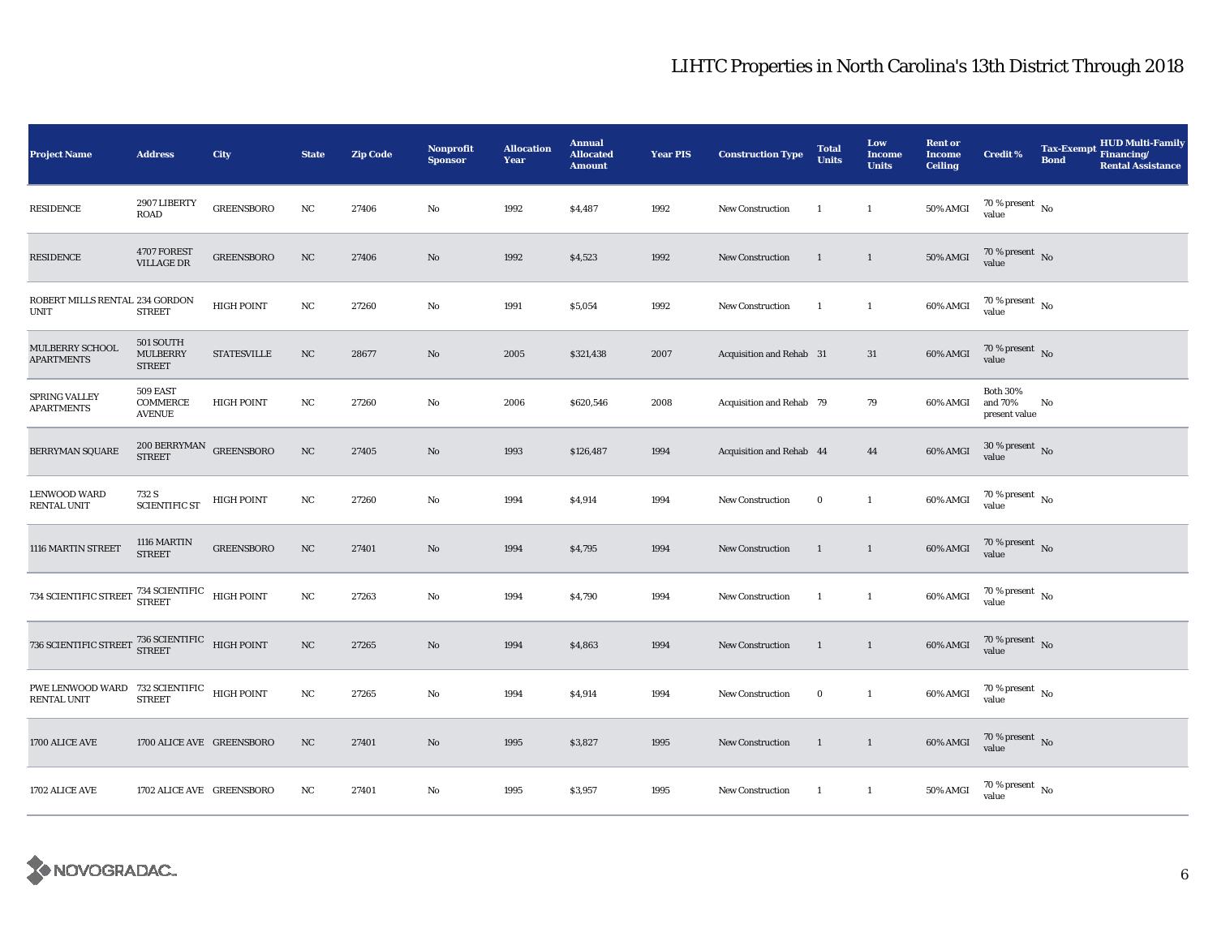| <b>Project Name</b>                                                            | <b>Address</b>                                | City               | <b>State</b>     | <b>Zip Code</b> | <b>Nonprofit</b><br><b>Sponsor</b> | <b>Allocation</b><br>Year | <b>Annual</b><br><b>Allocated</b><br><b>Amount</b> | <b>Year PIS</b> | <b>Construction Type</b> | <b>Total</b><br><b>Units</b> | Low<br><b>Income</b><br><b>Units</b> | <b>Rent or</b><br><b>Income</b><br><b>Ceiling</b> | <b>Credit %</b>                             | <b>Tax-Exempt</b><br><b>Bond</b> | <b>HUD Multi-Family</b><br>Financing/<br><b>Rental Assistance</b> |
|--------------------------------------------------------------------------------|-----------------------------------------------|--------------------|------------------|-----------------|------------------------------------|---------------------------|----------------------------------------------------|-----------------|--------------------------|------------------------------|--------------------------------------|---------------------------------------------------|---------------------------------------------|----------------------------------|-------------------------------------------------------------------|
| <b>RESIDENCE</b>                                                               | 2907 LIBERTY<br>ROAD                          | <b>GREENSBORO</b>  | NC               | 27406           | No                                 | 1992                      | \$4,487                                            | 1992            | New Construction         | $\mathbf{1}$                 | $\mathbf{1}$                         | <b>50% AMGI</b>                                   | 70 % present $\hbox{~No}$<br>value          |                                  |                                                                   |
| <b>RESIDENCE</b>                                                               | 4707 FOREST<br>VILLAGE DR                     | <b>GREENSBORO</b>  | $_{\mathrm{NC}}$ | 27406           | $\mathbf{No}$                      | 1992                      | \$4,523                                            | 1992            | <b>New Construction</b>  | $\mathbf{1}$                 | $\mathbf{1}$                         | <b>50% AMGI</b>                                   | $70\,\%$ present $\,$ No $\,$<br>value      |                                  |                                                                   |
| ROBERT MILLS RENTAL 234 GORDON<br>UNIT                                         | <b>STREET</b>                                 | <b>HIGH POINT</b>  | NC               | 27260           | No                                 | 1991                      | \$5,054                                            | 1992            | New Construction         | $\mathbf{1}$                 | $\mathbf{1}$                         | 60% AMGI                                          | $70\,\%$ present $\,$ No value              |                                  |                                                                   |
| MULBERRY SCHOOL<br><b>APARTMENTS</b>                                           | 501 SOUTH<br><b>MULBERRY</b><br><b>STREET</b> | <b>STATESVILLE</b> | NC               | 28677           | $\mathbf{No}$                      | 2005                      | \$321,438                                          | 2007            | Acquisition and Rehab 31 |                              | 31                                   | $60\%$ AMGI                                       | 70 % present $\hbox{~No}$<br>value          |                                  |                                                                   |
| SPRING VALLEY<br>APARTMENTS                                                    | 509 EAST<br>COMMERCE<br><b>AVENUE</b>         | <b>HIGH POINT</b>  | NC               | 27260           | No                                 | 2006                      | \$620,546                                          | 2008            | Acquisition and Rehab 79 |                              | 79                                   | 60% AMGI                                          | <b>Both 30%</b><br>and 70%<br>present value | No                               |                                                                   |
| <b>BERRYMAN SQUARE</b>                                                         | $200\, {\rm BERRYMAN}$ GREENSBORO STREET      |                    | $_{\mathrm{NC}}$ | 27405           | $\mathbf{No}$                      | 1993                      | \$126,487                                          | 1994            | Acquisition and Rehab 44 |                              | 44                                   | 60% AMGI                                          | $30\,\%$ present $\,$ No value              |                                  |                                                                   |
| <b>LENWOOD WARD</b><br>RENTAL UNIT                                             | 732 S<br><b>SCIENTIFIC ST</b>                 | <b>HIGH POINT</b>  | NC               | 27260           | $\mathbf{No}$                      | 1994                      | \$4,914                                            | 1994            | <b>New Construction</b>  | $\bf{0}$                     | $\mathbf{1}$                         | 60% AMGI                                          | $70\,\%$ present $\,$ No value              |                                  |                                                                   |
| 1116 MARTIN STREET                                                             | 1116 MARTIN<br><b>STREET</b>                  | <b>GREENSBORO</b>  | $_{\rm NC}$      | 27401           | No                                 | 1994                      | \$4,795                                            | 1994            | <b>New Construction</b>  | 1                            | $\mathbf{1}$                         | 60% AMGI                                          | $70\,\%$ present $\,$ No value              |                                  |                                                                   |
| 734 SCIENTIFIC STREET $^{734}$ SCIENTIFIC HIGH POINT                           |                                               |                    | NC               | 27263           | $\mathbf{No}$                      | 1994                      | \$4,790                                            | 1994            | <b>New Construction</b>  | -1                           | $\mathbf{1}$                         | 60% AMGI                                          | $70$ % present $\,$ No $\,$<br>value        |                                  |                                                                   |
| 736 SCIENTIFIC STREET $\frac{736 \text{ SCIENTIFIC}}{\text{STREF}}$ HIGH POINT |                                               |                    | $_{\mathrm{NC}}$ | 27265           | No                                 | 1994                      | \$4,863                                            | 1994            | <b>New Construction</b>  | $\mathbf{1}$                 | $\mathbf{1}$                         | 60% AMGI                                          | $70\,\%$ present $\,$ No value              |                                  |                                                                   |
| PWE LENWOOD WARD 732 SCIENTIFIC HIGH POINT<br>RENTAL UNIT                      | <b>STREET</b>                                 |                    | NC               | 27265           | No                                 | 1994                      | \$4,914                                            | 1994            | <b>New Construction</b>  | $\bf{0}$                     | $\mathbf{1}$                         | 60% AMGI                                          | 70 % present $\hbox{~No}$<br>value          |                                  |                                                                   |
| 1700 ALICE AVE                                                                 | 1700 ALICE AVE GREENSBORO                     |                    | $_{\rm NC}$      | 27401           | No                                 | 1995                      | \$3,827                                            | 1995            | <b>New Construction</b>  | $\mathbf{1}$                 | $\mathbf{1}$                         | 60% AMGI                                          | $70\,\%$ present $\,$ No value              |                                  |                                                                   |
| 1702 ALICE AVE                                                                 | 1702 ALICE AVE GREENSBORO                     |                    | NC               | 27401           | No                                 | 1995                      | \$3,957                                            | 1995            | <b>New Construction</b>  | -1                           | $\mathbf{1}$                         | 50% AMGI                                          | $70$ % present $\,$ No $\,$<br>value        |                                  |                                                                   |

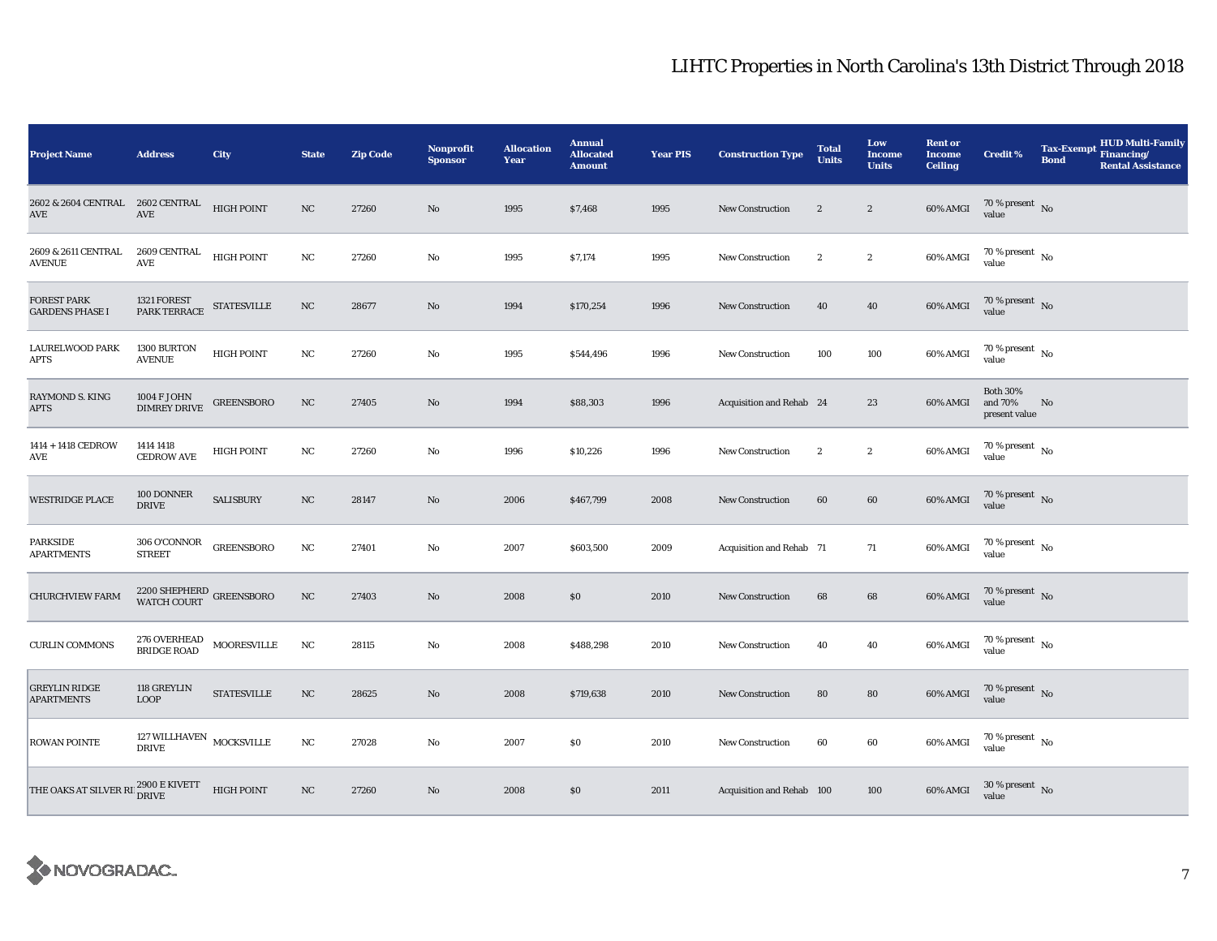| <b>Project Name</b>                                         | <b>Address</b>                                                | City               | <b>State</b>     | <b>Zip Code</b> | Nonprofit<br><b>Sponsor</b> | <b>Allocation</b><br>Year | <b>Annual</b><br><b>Allocated</b><br><b>Amount</b> | <b>Year PIS</b> | <b>Construction Type</b>  | <b>Total</b><br><b>Units</b> | Low<br>Income<br><b>Units</b> | <b>Rent or</b><br><b>Income</b><br><b>Ceiling</b> | <b>Credit %</b>                             | <b>Tax-Exempt</b><br><b>Bond</b> | <b>HUD Multi-Family</b><br>Financing/<br><b>Rental Assistance</b> |
|-------------------------------------------------------------|---------------------------------------------------------------|--------------------|------------------|-----------------|-----------------------------|---------------------------|----------------------------------------------------|-----------------|---------------------------|------------------------------|-------------------------------|---------------------------------------------------|---------------------------------------------|----------------------------------|-------------------------------------------------------------------|
| 2602 & 2604 CENTRAL 2602 CENTRAL<br>AVE                     | AVE                                                           | <b>HIGH POINT</b>  | NC               | 27260           | $\mathbf{No}$               | 1995                      | \$7,468                                            | 1995            | New Construction          | $\boldsymbol{2}$             | $\boldsymbol{2}$              | 60% AMGI                                          | $70\,\%$ present $\,$ No value              |                                  |                                                                   |
| 2609 & 2611 CENTRAL<br><b>AVENUE</b>                        | 2609 CENTRAL<br>AVE                                           | <b>HIGH POINT</b>  | NC               | 27260           | No                          | 1995                      | \$7,174                                            | 1995            | <b>New Construction</b>   | $\boldsymbol{2}$             | $\boldsymbol{2}$              | 60% AMGI                                          | $70$ % present $\,$ No $\,$<br>value        |                                  |                                                                   |
| <b>FOREST PARK</b><br><b>GARDENS PHASE I</b>                | $1321\ \mbox{FOREST} \hspace{1.5cm}$ STATESVILLE PARK TERRACE |                    | NC               | 28677           | No                          | 1994                      | \$170,254                                          | 1996            | New Construction          | 40                           | 40                            | 60% AMGI                                          | $70\,\%$ present $${\rm No}$$ value         |                                  |                                                                   |
| <b>LAURELWOOD PARK</b><br>APTS                              | 1300 BURTON<br><b>AVENUE</b>                                  | <b>HIGH POINT</b>  | NC               | 27260           | No                          | 1995                      | \$544,496                                          | 1996            | New Construction          | 100                          | 100                           | 60% AMGI                                          | $70$ % present $\,$ No $\,$<br>value        |                                  |                                                                   |
| RAYMOND S. KING<br><b>APTS</b>                              | 1004 F JOHN<br><b>DIMREY DRIVE</b>                            | <b>GREENSBORO</b>  | NC               | 27405           | No                          | 1994                      | \$88,303                                           | 1996            | Acquisition and Rehab 24  |                              | 23                            | 60% AMGI                                          | <b>Both 30%</b><br>and 70%<br>present value | No                               |                                                                   |
| 1414 + 1418 CEDROW<br>AVE                                   | 1414 1418<br><b>CEDROW AVE</b>                                | <b>HIGH POINT</b>  | NC               | 27260           | No                          | 1996                      | \$10,226                                           | 1996            | <b>New Construction</b>   | $\boldsymbol{2}$             | $\boldsymbol{2}$              | 60% AMGI                                          | 70 % present $\hbox{~No}$<br>value          |                                  |                                                                   |
| <b>WESTRIDGE PLACE</b>                                      | 100 DONNER<br><b>DRIVE</b>                                    | <b>SALISBURY</b>   | NC               | 28147           | No                          | 2006                      | \$467,799                                          | 2008            | <b>New Construction</b>   | 60                           | 60                            | 60% AMGI                                          | $70\,\%$ present $\,$ No value              |                                  |                                                                   |
| <b>PARKSIDE</b><br><b>APARTMENTS</b>                        | 306 O'CONNOR<br><b>STREET</b>                                 | <b>GREENSBORO</b>  | $_{\rm NC}$      | 27401           | No                          | 2007                      | \$603,500                                          | 2009            | Acquisition and Rehab 71  |                              | 71                            | 60% AMGI                                          | $70\,\%$ present $\,$ No value              |                                  |                                                                   |
| <b>CHURCHVIEW FARM</b>                                      | $2200\,{\rm SHEPHERD}$ GREENSBORO WATCH COURT                 |                    | NC               | 27403           | No                          | 2008                      | $\$0$                                              | 2010            | New Construction          | 68                           | 68                            | 60% AMGI                                          | 70 % present No<br>value                    |                                  |                                                                   |
| <b>CURLIN COMMONS</b>                                       | $276$ OVERHEAD $\,$ MOORESVILLE BRIDGE ROAD                   |                    | $_{\rm NC}$      | 28115           | No                          | 2008                      | \$488,298                                          | 2010            | <b>New Construction</b>   | 40                           | 40                            | 60% AMGI                                          | $70$ % present $\,$ No $\,$<br>value        |                                  |                                                                   |
| <b>GREYLIN RIDGE</b><br><b>APARTMENTS</b>                   | 118 GREYLIN<br><b>LOOP</b>                                    | <b>STATESVILLE</b> | NC               | 28625           | No                          | 2008                      | \$719,638                                          | 2010            | New Construction          | 80                           | 80                            | 60% AMGI                                          | $70\,\%$ present $\,$ No value              |                                  |                                                                   |
| <b>ROWAN POINTE</b>                                         | $127\,\rm WILLHAVEN$ MOCKSVILLE DRIVE                         |                    | NC               | 27028           | No                          | 2007                      | $\$0$                                              | 2010            | <b>New Construction</b>   | 60                           | 60                            | 60% AMGI                                          | $70\,\%$ present $\,$ No value              |                                  |                                                                   |
| THE OAKS AT SILVER RI $^{2900\, \rm E\,KIVETT}_{\rm DRIVE}$ |                                                               | <b>HIGH POINT</b>  | $_{\mathrm{NC}}$ | 27260           | $\rm No$                    | 2008                      | \$0                                                | 2011            | Acquisition and Rehab 100 |                              | 100                           | 60% AMGI                                          | $30\,\%$ present $\,$ No value              |                                  |                                                                   |

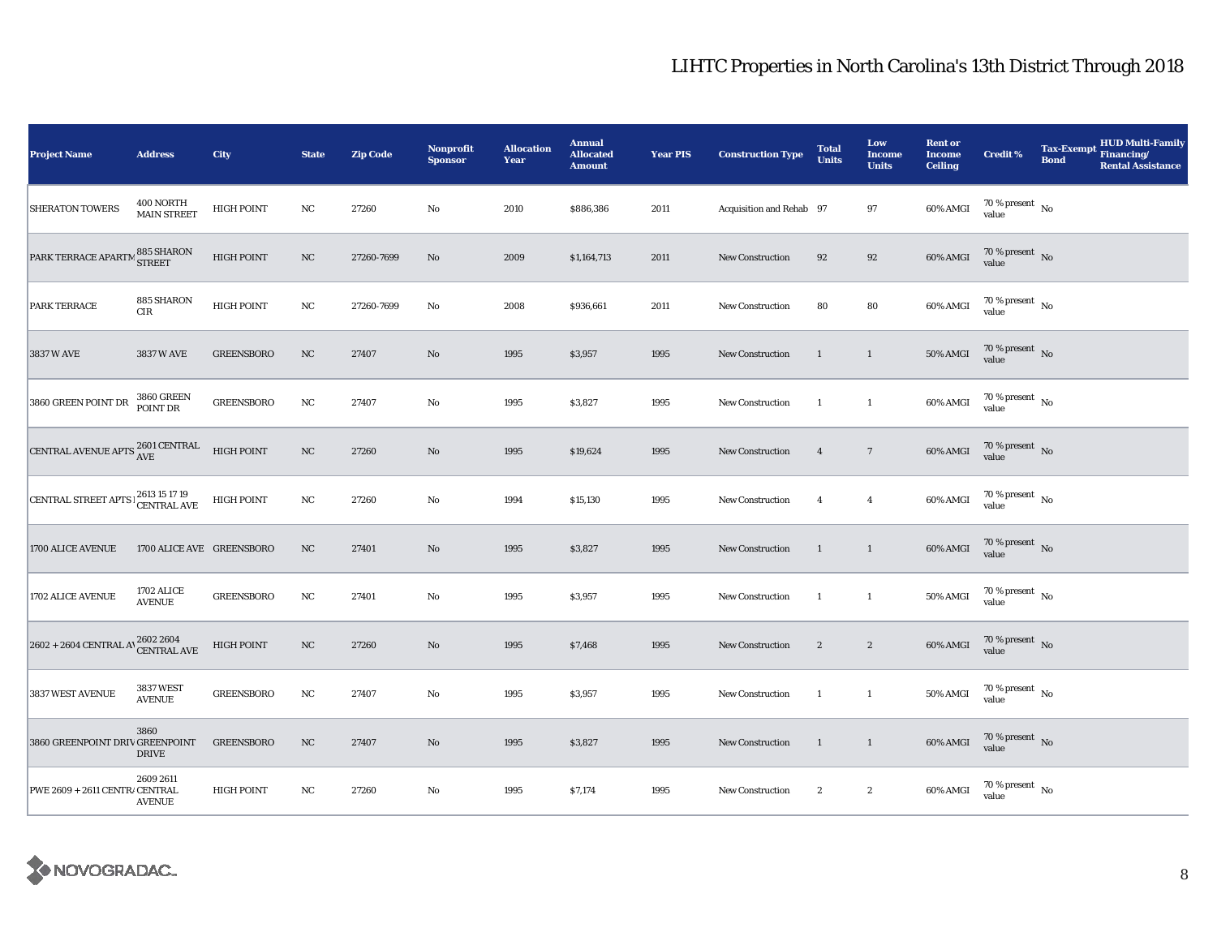| Project Name                                                                                                                                                      | <b>Address</b>                     | City              | <b>State</b> | <b>Zip Code</b> | <b>Nonprofit</b><br><b>Sponsor</b> | <b>Allocation</b><br>Year | <b>Annual</b><br><b>Allocated</b><br><b>Amount</b> | <b>Year PIS</b> | <b>Construction Type</b> | <b>Total</b><br><b>Units</b> | Low<br>Income<br><b>Units</b> | <b>Rent or</b><br><b>Income</b><br><b>Ceiling</b> | <b>Credit %</b>                        | <b>Tax-Exempt</b><br><b>Bond</b> | <b>HUD Multi-Family</b><br>Financing/<br><b>Rental Assistance</b> |
|-------------------------------------------------------------------------------------------------------------------------------------------------------------------|------------------------------------|-------------------|--------------|-----------------|------------------------------------|---------------------------|----------------------------------------------------|-----------------|--------------------------|------------------------------|-------------------------------|---------------------------------------------------|----------------------------------------|----------------------------------|-------------------------------------------------------------------|
| <b>SHERATON TOWERS</b>                                                                                                                                            | 400 NORTH<br><b>MAIN STREET</b>    | <b>HIGH POINT</b> | $_{\rm NC}$  | 27260           | $\rm No$                           | 2010                      | \$886,386                                          | 2011            | Acquisition and Rehab 97 |                              | 97                            | 60% AMGI                                          | 70 % present $\hbox{~No}$<br>value     |                                  |                                                                   |
| PARK TERRACE APARTM                                                                                                                                               | 1885 SHARON<br><sup>1</sup> STREET | <b>HIGH POINT</b> | $_{\rm NC}$  | 27260-7699      | $\mathbf{N}\mathbf{o}$             | 2009                      | \$1,164,713                                        | 2011            | <b>New Construction</b>  | 92                           | 92                            | 60% AMGI                                          | $70$ % present $\,$ No $\,$<br>value   |                                  |                                                                   |
| PARK TERRACE                                                                                                                                                      | 885 SHARON<br>CIR                  | <b>HIGH POINT</b> | $_{\rm NC}$  | 27260-7699      | No                                 | 2008                      | \$936,661                                          | 2011            | <b>New Construction</b>  | 80                           | ${\bf 80}$                    | 60% AMGI                                          | $70\,\%$ present $\,$ No value         |                                  |                                                                   |
| 3837 W AVE                                                                                                                                                        | 3837 W AVE                         | <b>GREENSBORO</b> | NC           | 27407           | No                                 | 1995                      | \$3,957                                            | 1995            | <b>New Construction</b>  | 1                            | $\mathbf{1}$                  | 50% AMGI                                          | $70\,\%$ present $\,$ No value         |                                  |                                                                   |
| 3860 GREEN POINT DR                                                                                                                                               | <b>3860 GREEN</b><br>POINT DR      | <b>GREENSBORO</b> | $_{\rm NC}$  | 27407           | No                                 | 1995                      | \$3,827                                            | 1995            | <b>New Construction</b>  | $\mathbf{1}$                 | $\mathbf{1}$                  | 60% AMGI                                          | $70\,\%$ present $\,$ No value         |                                  |                                                                   |
| CENTRAL AVENUE APTS $^{2601}_{\rm{AVE}}$                                                                                                                          |                                    | <b>HIGH POINT</b> | $_{\rm NC}$  | 27260           | No                                 | 1995                      | \$19,624                                           | 1995            | New Construction         | $\overline{4}$               | $7\phantom{.0}$               | 60% AMGI                                          | $70$ % present $\,$ No $\,$<br>value   |                                  |                                                                   |
| CENTRAL STREET APTS $\frac{2613}{15}$ 15 17 19                                                                                                                    |                                    | <b>HIGH POINT</b> | $_{\rm NC}$  | 27260           | $\rm No$                           | 1994                      | \$15,130                                           | 1995            | <b>New Construction</b>  | $\overline{4}$               | $\overline{4}$                | 60% AMGI                                          | $70\,\%$ present $\,$ No value         |                                  |                                                                   |
| 1700 ALICE AVENUE                                                                                                                                                 | 1700 ALICE AVE GREENSBORO          |                   | NC           | 27401           | No                                 | 1995                      | \$3,827                                            | 1995            | New Construction         | 1                            | $\mathbf{1}$                  | 60% AMGI                                          | 70 % present $\,$ No $\,$<br>value     |                                  |                                                                   |
| 1702 ALICE AVENUE                                                                                                                                                 | 1702 ALICE<br><b>AVENUE</b>        | <b>GREENSBORO</b> | $_{\rm NC}$  | 27401           | No                                 | 1995                      | \$3,957                                            | 1995            | <b>New Construction</b>  | $\mathbf{1}$                 | $\mathbf{1}$                  | 50% AMGI                                          | $70\,\%$ present $\,$ No value         |                                  |                                                                   |
| $2602 + 2604 \hspace{0.1cm} \text{CENTRAL A} \setminus \hspace{0.1cm} \begin{array}{l} 2602 \hspace{0.1cm} 2604 \hspace{0.1cm} \\ \text{CENTRAL AVE} \end{array}$ |                                    | <b>HIGH POINT</b> | $_{\rm NC}$  | 27260           | $\rm No$                           | 1995                      | \$7,468                                            | 1995            | <b>New Construction</b>  | $\mathbf{2}$                 | $\boldsymbol{2}$              | 60% AMGI                                          | 70 % present $\hbox{~No}$<br>value     |                                  |                                                                   |
| 3837 WEST AVENUE                                                                                                                                                  | 3837 WEST<br><b>AVENUE</b>         | <b>GREENSBORO</b> | $_{\rm NC}$  | 27407           | No                                 | 1995                      | \$3,957                                            | 1995            | New Construction         | $\overline{1}$               | $\mathbf{1}$                  | 50% AMGI                                          | 70 % present $\hbox{~No}$<br>value     |                                  |                                                                   |
| 3860 GREENPOINT DRIV GREENPOINT                                                                                                                                   | 3860<br><b>DRIVE</b>               | <b>GREENSBORO</b> | NC           | 27407           | $\rm No$                           | 1995                      | \$3,827                                            | 1995            | New Construction         | $\mathbf{1}$                 | $\mathbf{1}$                  | 60% AMGI                                          | $70\,\%$ present $\,$ No value         |                                  |                                                                   |
| PWE 2609 + 2611 CENTR/ CENTRAL                                                                                                                                    | 2609 2611<br><b>AVENUE</b>         | <b>HIGH POINT</b> | NC           | 27260           | No                                 | 1995                      | \$7,174                                            | 1995            | <b>New Construction</b>  | $\boldsymbol{2}$             | $\boldsymbol{2}$              | 60% AMGI                                          | $70\,\%$ present $\,$ No $\,$<br>value |                                  |                                                                   |

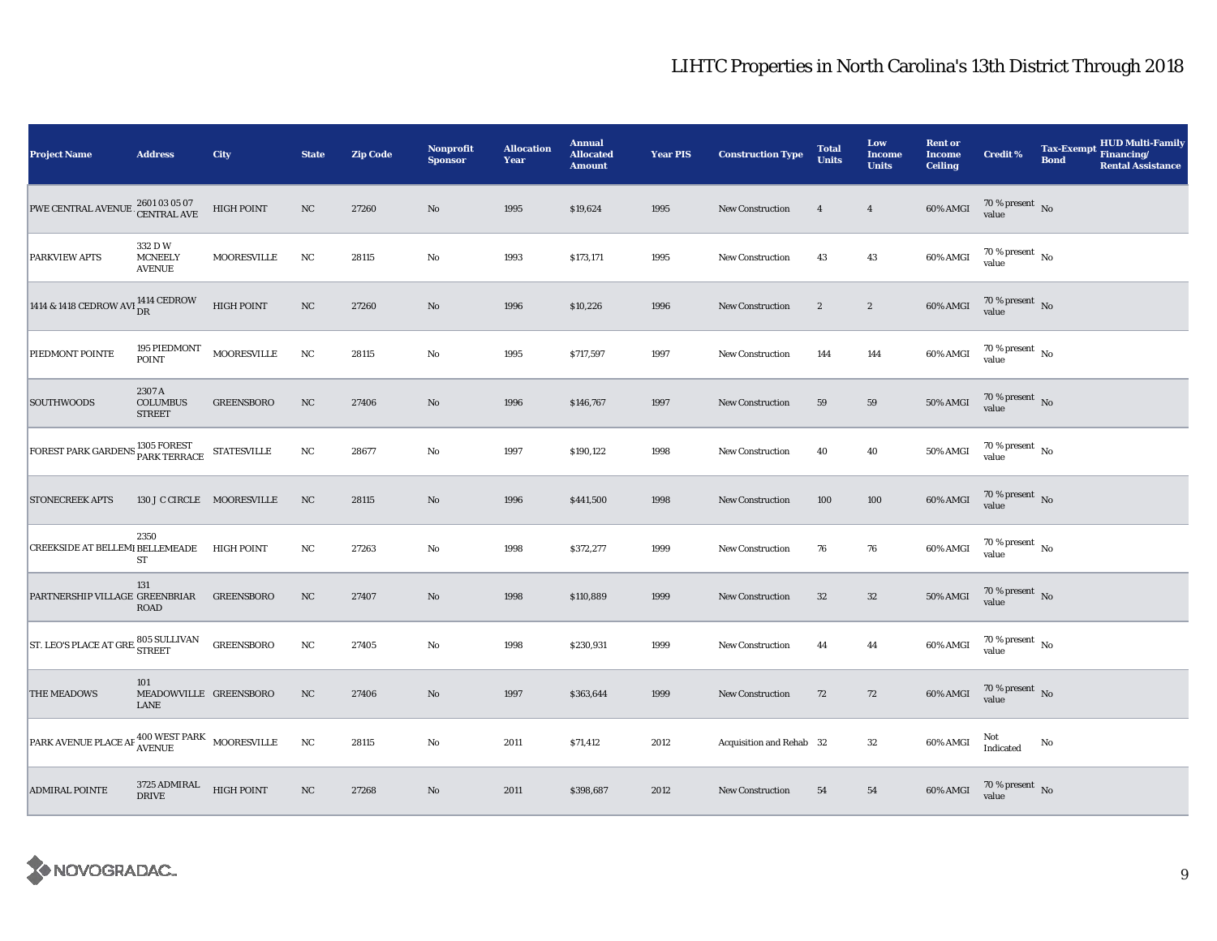| <b>Project Name</b>                                                                                                            | <b>Address</b>                                  | City                       | <b>State</b> | <b>Zip Code</b> | <b>Nonprofit</b><br><b>Sponsor</b> | <b>Allocation</b><br>Year | <b>Annual</b><br><b>Allocated</b><br><b>Amount</b> | <b>Year PIS</b> | <b>Construction Type</b> | <b>Total</b><br><b>Units</b> | Low<br><b>Income</b><br><b>Units</b> | <b>Rent or</b><br><b>Income</b><br><b>Ceiling</b> | <b>Credit %</b>                        | <b>Tax-Exempt</b><br><b>Bond</b> | HUD Multi-Family<br>Financing/<br><b>Rental Assistance</b> |
|--------------------------------------------------------------------------------------------------------------------------------|-------------------------------------------------|----------------------------|--------------|-----------------|------------------------------------|---------------------------|----------------------------------------------------|-----------------|--------------------------|------------------------------|--------------------------------------|---------------------------------------------------|----------------------------------------|----------------------------------|------------------------------------------------------------|
| PWE CENTRAL AVENUE 2601 03 05 07<br>CENTRAL AVE                                                                                |                                                 | HIGH POINT                 | NC           | 27260           | $\rm No$                           | 1995                      | \$19,624                                           | 1995            | New Construction         | $\overline{4}$               | $\overline{4}$                       | 60% AMGI                                          | $70\,\%$ present $\,$ No value         |                                  |                                                            |
| <b>PARKVIEW APTS</b>                                                                                                           | 332 D W<br><b>MCNEELY</b><br><b>AVENUE</b>      | MOORESVILLE                | NC           | 28115           | $\mathbf{No}$                      | 1993                      | \$173,171                                          | 1995            | New Construction         | 43                           | 43                                   | 60% AMGI                                          | 70 % present $\,$ No $\,$<br>value     |                                  |                                                            |
| 1414 & 1418 CEDROW AVI $_{\text{DR}}^{1414}$ CEDROW                                                                            |                                                 | <b>HIGH POINT</b>          | $_{\rm NC}$  | 27260           | $\rm No$                           | 1996                      | \$10,226                                           | 1996            | <b>New Construction</b>  | $\sqrt{2}$                   | $\boldsymbol{2}$                     | 60% AMGI                                          | $70\,\%$ present $\,$ No value         |                                  |                                                            |
| PIEDMONT POINTE                                                                                                                | 195 PIEDMONT<br><b>POINT</b>                    | <b>MOORESVILLE</b>         | $_{\rm NC}$  | 28115           | $\mathbf{No}$                      | 1995                      | \$717,597                                          | 1997            | <b>New Construction</b>  | 144                          | 144                                  | 60% AMGI                                          | $70\,\%$ present $\,$ No value         |                                  |                                                            |
| <b>SOUTHWOODS</b>                                                                                                              | 2307 A<br><b>COLUMBUS</b><br><b>STREET</b>      | <b>GREENSBORO</b>          | NC           | 27406           | No                                 | 1996                      | \$146,767                                          | 1997            | <b>New Construction</b>  | 59                           | ${\bf 59}$                           | 50% AMGI                                          | $70\,\%$ present $\,$ No value         |                                  |                                                            |
| $\boxed{\text{FOREST PARK GARDENS}^{\text{1305 FOREST}}_{\text{PARK TERACE}} \begin{array}{l} \text{STATESVILLE} \end{array}}$ |                                                 |                            | $_{\rm NC}$  | 28677           | No                                 | 1997                      | \$190,122                                          | 1998            | <b>New Construction</b>  | 40                           | 40                                   | <b>50% AMGI</b>                                   | $70\,\%$ present $\,$ No value         |                                  |                                                            |
| <b>STONECREEK APTS</b>                                                                                                         |                                                 | 130 J C CIRCLE MOORESVILLE | $_{\rm NC}$  | 28115           | $\rm No$                           | 1996                      | \$441,500                                          | 1998            | <b>New Construction</b>  | 100                          | 100                                  | 60% AMGI                                          | $70\,\%$ present $\,$ No value         |                                  |                                                            |
| <b>CREEKSIDE AT BELLEMI BELLEMEADE</b>                                                                                         | 2350<br>ST                                      | <b>HIGH POINT</b>          | NC           | 27263           | $\rm No$                           | 1998                      | \$372,277                                          | 1999            | New Construction         | 76                           | 76                                   | 60% AMGI                                          | $70\,\%$ present $\,$ No $\,$<br>value |                                  |                                                            |
| PARTNERSHIP VILLAGE GREENBRIAR                                                                                                 | 131<br><b>ROAD</b>                              | <b>GREENSBORO</b>          | $_{\rm NC}$  | 27407           | No                                 | 1998                      | \$110,889                                          | 1999            | New Construction         | 32                           | $32\,$                               | <b>50% AMGI</b>                                   | $70\,\%$ present $\,$ No value         |                                  |                                                            |
| ST. LEO'S PLACE AT GRE 805 SULLIVAN                                                                                            |                                                 | <b>GREENSBORO</b>          | NC           | 27405           | No                                 | 1998                      | \$230,931                                          | 1999            | <b>New Construction</b>  | 44                           | 44                                   | 60% AMGI                                          | 70 % present $\hbox{~No}$<br>value     |                                  |                                                            |
| THE MEADOWS                                                                                                                    | 101<br>MEADOWVILLE GREENSBORO<br>LANE           |                            | NC           | 27406           | No                                 | 1997                      | \$363,644                                          | 1999            | New Construction         | 72                           | 72                                   | 60% AMGI                                          | $70\,\%$ present $\,$ No value         |                                  |                                                            |
| $\boxed{\text{PARK AVENUE PLACE AF}}^{\text{400}\text{WEST} \text{PARK}}_{\text{AVENUE}}$                                      |                                                 |                            | $_{\rm NC}$  | 28115           | $\rm No$                           | 2011                      | \$71,412                                           | 2012            | Acquisition and Rehab 32 |                              | 32                                   | 60% AMGI                                          | Not<br>Indicated                       | No                               |                                                            |
| <b>ADMIRAL POINTE</b>                                                                                                          | $3725\ \mathrm{ADMIRAL}$ $$\,$ HIGH POINT DRIVE |                            | $_{\rm NC}$  | 27268           | No                                 | 2011                      | \$398,687                                          | 2012            | <b>New Construction</b>  | 54                           | 54                                   | 60% AMGI                                          | $70\,\%$ present $\,$ No value         |                                  |                                                            |

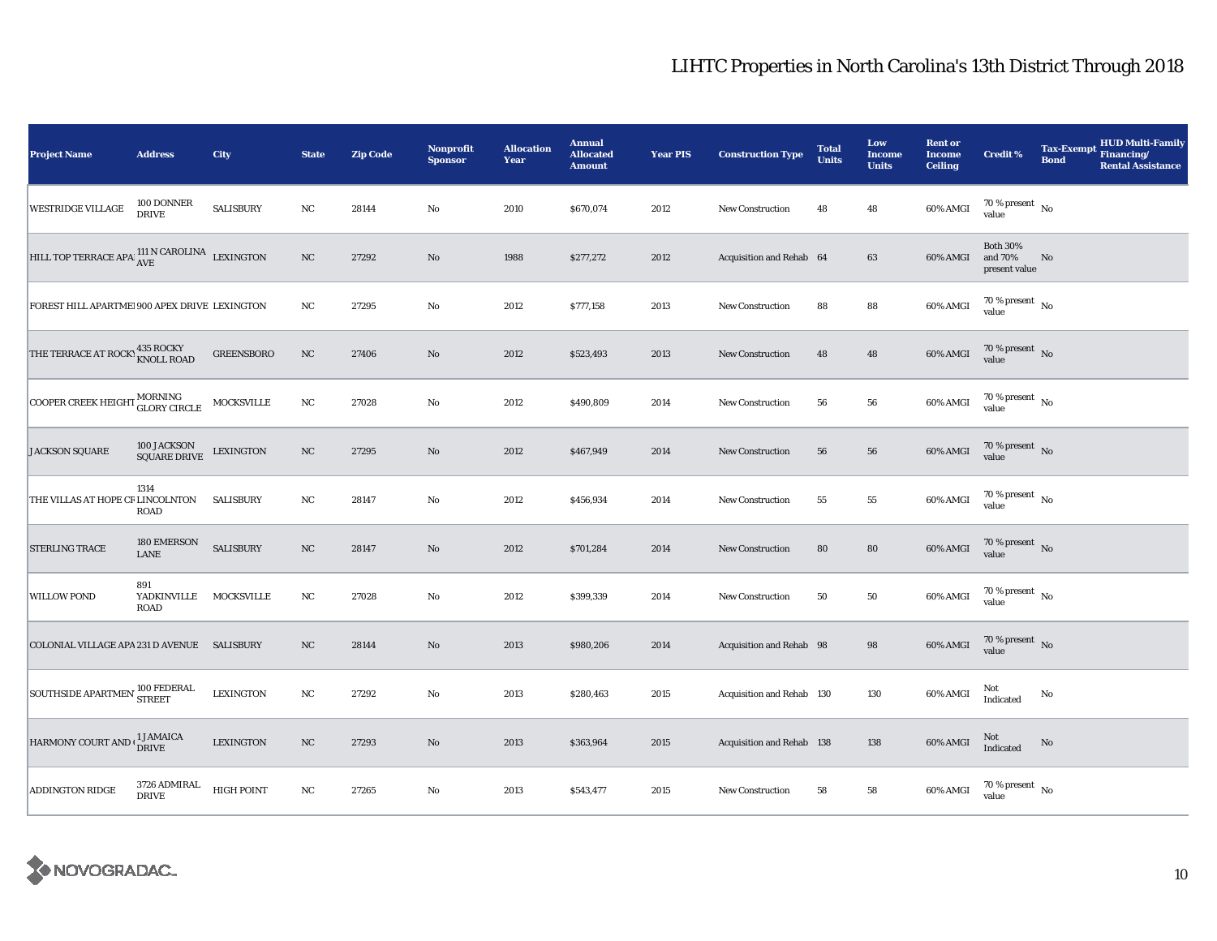| <b>Project Name</b>                                         | <b>Address</b>                               | City              | <b>State</b> | <b>Zip Code</b> | <b>Nonprofit</b><br><b>Sponsor</b> | <b>Allocation</b><br>Year | <b>Annual</b><br><b>Allocated</b><br><b>Amount</b> | <b>Year PIS</b> | <b>Construction Type</b>  | <b>Total</b><br><b>Units</b> | Low<br><b>Income</b><br><b>Units</b> | <b>Rent or</b><br><b>Income</b><br><b>Ceiling</b> | <b>Credit %</b>                             | <b>Tax-Exempt</b><br><b>Bond</b> | <b>HUD Multi-Family</b><br>Financing/<br><b>Rental Assistance</b> |
|-------------------------------------------------------------|----------------------------------------------|-------------------|--------------|-----------------|------------------------------------|---------------------------|----------------------------------------------------|-----------------|---------------------------|------------------------------|--------------------------------------|---------------------------------------------------|---------------------------------------------|----------------------------------|-------------------------------------------------------------------|
| <b>WESTRIDGE VILLAGE</b>                                    | 100 DONNER<br><b>DRIVE</b>                   | <b>SALISBURY</b>  | NC           | 28144           | $\mathbf{No}$                      | 2010                      | \$670,074                                          | 2012            | New Construction          | 48                           | 48                                   | 60% AMGI                                          | 70 % present $\hbox{~No}$<br>value          |                                  |                                                                   |
| HILL TOP TERRACE APA $111$ N CAROLINA LEXINGTON             |                                              |                   | NC           | 27292           | No                                 | 1988                      | \$277,272                                          | 2012            | Acquisition and Rehab 64  |                              | 63                                   | 60% AMGI                                          | <b>Both 30%</b><br>and 70%<br>present value | No                               |                                                                   |
| FOREST HILL APARTME! 900 APEX DRIVE LEXINGTON               |                                              |                   | NC           | 27295           | No                                 | 2012                      | \$777,158                                          | 2013            | <b>New Construction</b>   | 88                           | 88                                   | 60% AMGI                                          | $70\,\%$ present $_{\rm No}$                |                                  |                                                                   |
| THE TERRACE AT ROCK! <b>435 ROCKY</b><br>KNOLL ROAD         |                                              | <b>GREENSBORO</b> | $_{\rm NC}$  | 27406           | $\mathbf{N}\mathbf{o}$             | 2012                      | \$523,493                                          | 2013            | <b>New Construction</b>   | 48                           | 48                                   | 60% AMGI                                          | 70 % present $\hbox{~No}$<br>value          |                                  |                                                                   |
| COOPER CREEK HEIGHT MORNING<br>GLORY CIRCLE                 |                                              | MOCKSVILLE        | $_{\rm NC}$  | 27028           | No                                 | 2012                      | \$490,809                                          | 2014            | <b>New Construction</b>   | 56                           | ${\bf 56}$                           | 60% AMGI                                          | $70\,\%$ present $\,$ No value              |                                  |                                                                   |
| <b>JACKSON SQUARE</b>                                       | 100 JACKSON<br>SQUARE DRIVE                  | <b>LEXINGTON</b>  | NC           | 27295           | No                                 | 2012                      | \$467,949                                          | 2014            | New Construction          | 56                           | 56                                   | 60% AMGI                                          | $70\,\%$ present $\,$ No value              |                                  |                                                                   |
| THE VILLAS AT HOPE CR LINCOLNTON                            | 1314<br><b>ROAD</b>                          | <b>SALISBURY</b>  | NC           | 28147           | $\mathbf{No}$                      | 2012                      | \$456,934                                          | 2014            | <b>New Construction</b>   | 55                           | ${\bf 55}$                           | 60% AMGI                                          | $70$ % present $_{\, \rm No}$<br>value      |                                  |                                                                   |
| <b>STERLING TRACE</b>                                       | 180 EMERSON<br>LANE                          | <b>SALISBURY</b>  | NC           | 28147           | $\mathbf{N}\mathbf{o}$             | 2012                      | \$701,284                                          | 2014            | New Construction          | 80                           | 80                                   | 60% AMGI                                          | $70\,\%$ present $\,$ No $\,$<br>value      |                                  |                                                                   |
| <b>WILLOW POND</b>                                          | 891<br>YADKINVILLE MOCKSVILLE<br><b>ROAD</b> |                   | NC           | 27028           | No                                 | 2012                      | \$399,339                                          | 2014            | <b>New Construction</b>   | 50                           | 50                                   | 60% AMGI                                          | $70\,\%$ present $\,$ No value              |                                  |                                                                   |
| COLONIAL VILLAGE APA 231 D AVENUE SALISBURY                 |                                              |                   | NC           | 28144           | No                                 | 2013                      | \$980,206                                          | 2014            | Acquisition and Rehab 98  |                              | 98                                   | 60% AMGI                                          | $70\,\%$ present $\,$ No value              |                                  |                                                                   |
| SOUTHSIDE APARTMEN <sup>100</sup> FEDERAL                   |                                              | <b>LEXINGTON</b>  | NC           | 27292           | No                                 | 2013                      | \$280,463                                          | 2015            | Acquisition and Rehab 130 |                              | 130                                  | 60% AMGI                                          | Not<br>Indicated                            | No                               |                                                                   |
| HARMONY COURT AND $\binom{1 \text{ JAMAICA}}{\text{DRIVE}}$ |                                              | <b>LEXINGTON</b>  | NC           | 27293           | $\mathbf{N}\mathbf{o}$             | 2013                      | \$363,964                                          | 2015            | Acquisition and Rehab 138 |                              | 138                                  | 60% AMGI                                          | Not<br>Indicated                            | No                               |                                                                   |
| ADDINGTON RIDGE                                             | 3726 ADMIRAL<br><b>DRIVE</b>                 | <b>HIGH POINT</b> | $_{\rm NC}$  | 27265           | $\mathbf{No}$                      | 2013                      | \$543,477                                          | 2015            | <b>New Construction</b>   | 58                           | 58                                   | 60% AMGI                                          | $70$ % present $_{\, \rm No}$<br>value      |                                  |                                                                   |

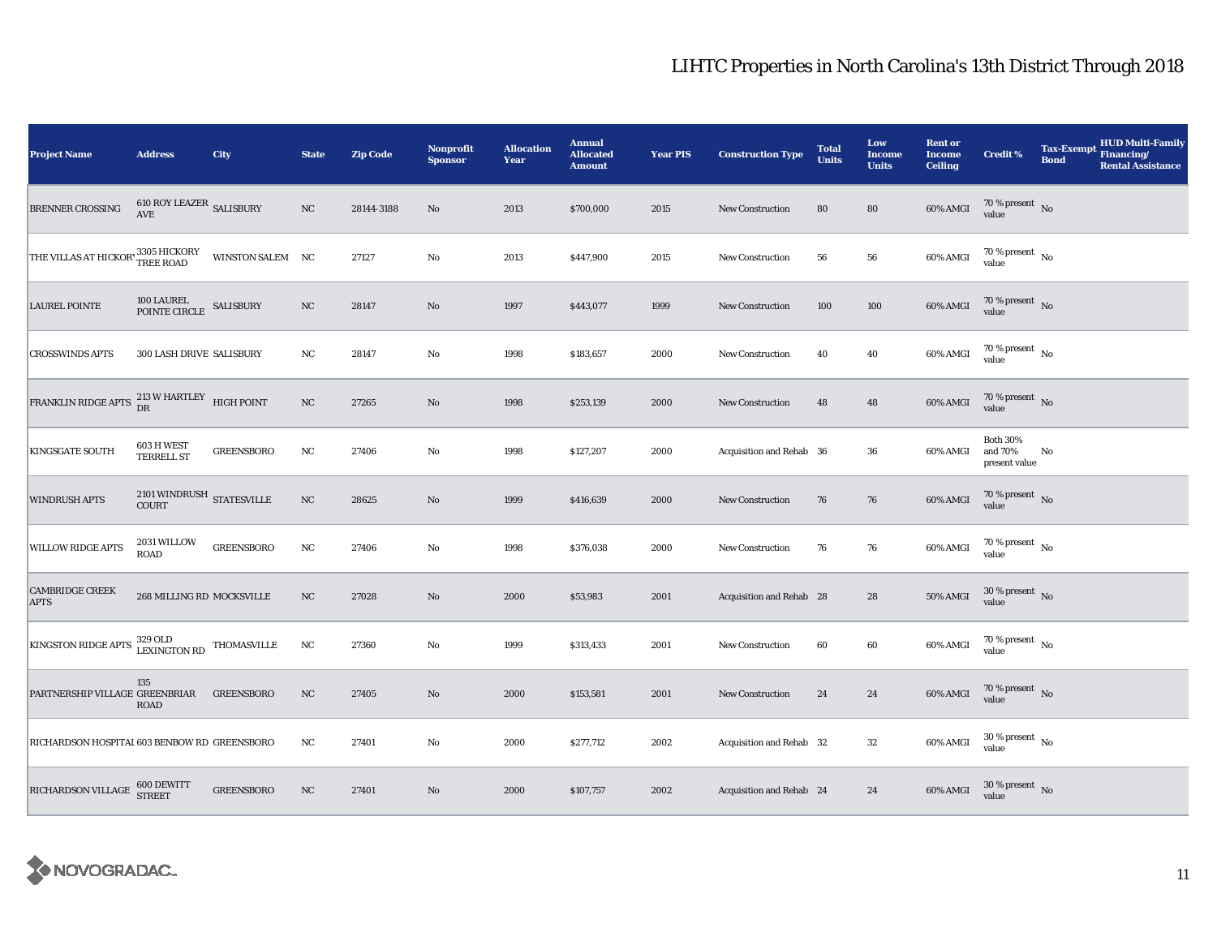| <b>Project Name</b>                                    | <b>Address</b>                                                 | City              | <b>State</b> | <b>Zip Code</b> | <b>Nonprofit</b><br><b>Sponsor</b> | <b>Allocation</b><br>Year | <b>Annual</b><br><b>Allocated</b><br><b>Amount</b> | <b>Year PIS</b> | <b>Construction Type</b> | <b>Total</b><br><b>Units</b> | Low<br>Income<br><b>Units</b> | <b>Rent or</b><br><b>Income</b><br><b>Ceiling</b> | <b>Credit %</b>                             | <b>Tax-Exempt</b><br><b>Bond</b> | HUD Multi-Family<br>Financing/<br><b>Rental Assistance</b> |
|--------------------------------------------------------|----------------------------------------------------------------|-------------------|--------------|-----------------|------------------------------------|---------------------------|----------------------------------------------------|-----------------|--------------------------|------------------------------|-------------------------------|---------------------------------------------------|---------------------------------------------|----------------------------------|------------------------------------------------------------|
| BRENNER CROSSING                                       | $610\ \mathrm{ROY}\ \mathrm{LEAZER}$ SALISBURY<br>AVE          |                   | $_{\rm NC}$  | 28144-3188      | No                                 | 2013                      | \$700,000                                          | 2015            | <b>New Construction</b>  | 80                           | 80                            | 60% AMGI                                          | $70\,\%$ present $\,$ No value              |                                  |                                                            |
| THE VILLAS AT HICKOR' 3305 HICKORY                     |                                                                | WINSTON SALEM NC  |              | 27127           | $\mathbf {No}$                     | 2013                      | \$447,900                                          | 2015            | <b>New Construction</b>  | 56                           | ${\bf 56}$                    | 60% AMGI                                          | $70\,\%$ present $\,$ No $\,$<br>value      |                                  |                                                            |
| <b>LAUREL POINTE</b>                                   | $100$ LAUREL $$\sf SALISBURY$$ POINTE CIRCLE $$\sf SALISBURY$$ |                   | NC           | 28147           | No                                 | 1997                      | \$443,077                                          | 1999            | <b>New Construction</b>  | 100                          | 100                           | 60% AMGI                                          | $70\,\%$ present $\,$ No value              |                                  |                                                            |
| <b>CROSSWINDS APTS</b>                                 | <b>300 LASH DRIVE SALISBURY</b>                                |                   | NC           | 28147           | No                                 | 1998                      | \$183,657                                          | 2000            | <b>New Construction</b>  | 40                           | 40                            | 60% AMGI                                          | $70$ % present $\,$ No $\,$<br>value        |                                  |                                                            |
| FRANKLIN RIDGE APTS                                    | $213\ \mathrm{W}$ HARTLEY HIGH POINT DR                        |                   | $_{\rm NC}$  | 27265           | No                                 | 1998                      | \$253,139                                          | 2000            | New Construction         | 48                           | 48                            | 60% AMGI                                          | 70 % present $\hbox{~No}$<br>value          |                                  |                                                            |
| <b>KINGSGATE SOUTH</b>                                 | 603 H WEST<br><b>TERRELL ST</b>                                | <b>GREENSBORO</b> | $_{\rm NC}$  | 27406           | $\rm No$                           | 1998                      | \$127,207                                          | 2000            | Acquisition and Rehab 36 |                              | 36                            | 60% AMGI                                          | <b>Both 30%</b><br>and 70%<br>present value | No                               |                                                            |
| <b>WINDRUSH APTS</b>                                   | $2101\,\mbox{WINDRUSH}$ STATES<br>VILLE COURT                  |                   | $_{\rm NC}$  | 28625           | No                                 | 1999                      | \$416,639                                          | 2000            | <b>New Construction</b>  | 76                           | 76                            | 60% AMGI                                          | 70 % present $\hbox{~No}$<br>value          |                                  |                                                            |
| <b>WILLOW RIDGE APTS</b>                               | 2031 WILLOW<br><b>ROAD</b>                                     | <b>GREENSBORO</b> | $_{\rm NC}$  | 27406           | $\rm No$                           | 1998                      | \$376,038                                          | 2000            | <b>New Construction</b>  | 76                           | ${\bf 76}$                    | 60% AMGI                                          | $70\,\%$ present $\,$ No value              |                                  |                                                            |
| <b>CAMBRIDGE CREEK</b><br><b>APTS</b>                  | 268 MILLING RD MOCKSVILLE                                      |                   | $_{\rm NC}$  | 27028           | No                                 | 2000                      | \$53,983                                           | 2001            | Acquisition and Rehab 28 |                              | 28                            | <b>50% AMGI</b>                                   | $30\,\%$ present $\,$ No $\,$<br>value      |                                  |                                                            |
| KINGSTON RIDGE APTS 329 OLD<br>LEXINGTON RD            |                                                                | THOMASVILLE       | $_{\rm NC}$  | 27360           | $\mathbf{No}$                      | 1999                      | \$313,433                                          | 2001            | <b>New Construction</b>  | 60                           | 60                            | 60% AMGI                                          | $70\,\%$ present $\,$ No $\,$<br>value      |                                  |                                                            |
| PARTNERSHIP VILLAGE GREENBRIAR                         | 135<br><b>ROAD</b>                                             | <b>GREENSBORO</b> | $_{\rm NC}$  | 27405           | No                                 | 2000                      | \$153,581                                          | 2001            | New Construction         | 24                           | 24                            | 60% AMGI                                          | $70\,\%$ present $\,$ No $\,$<br>value      |                                  |                                                            |
| RICHARDSON HOSPITAI 603 BENBOW RD GREENSBORO           |                                                                |                   | $_{\rm NC}$  | 27401           | $\rm No$                           | 2000                      | \$277,712                                          | 2002            | Acquisition and Rehab 32 |                              | $32\,$                        | 60% AMGI                                          | $30\,\%$ present $\,$ No value              |                                  |                                                            |
| RICHARDSON VILLAGE $^{600\, {\rm DEWITT}}_{\rm STREF}$ |                                                                | <b>GREENSBORO</b> | $_{\rm NC}$  | 27401           | No                                 | 2000                      | \$107,757                                          | 2002            | Acquisition and Rehab 24 |                              | 24                            | 60% AMGI                                          | $30\,\%$ present $\,$ No value              |                                  |                                                            |

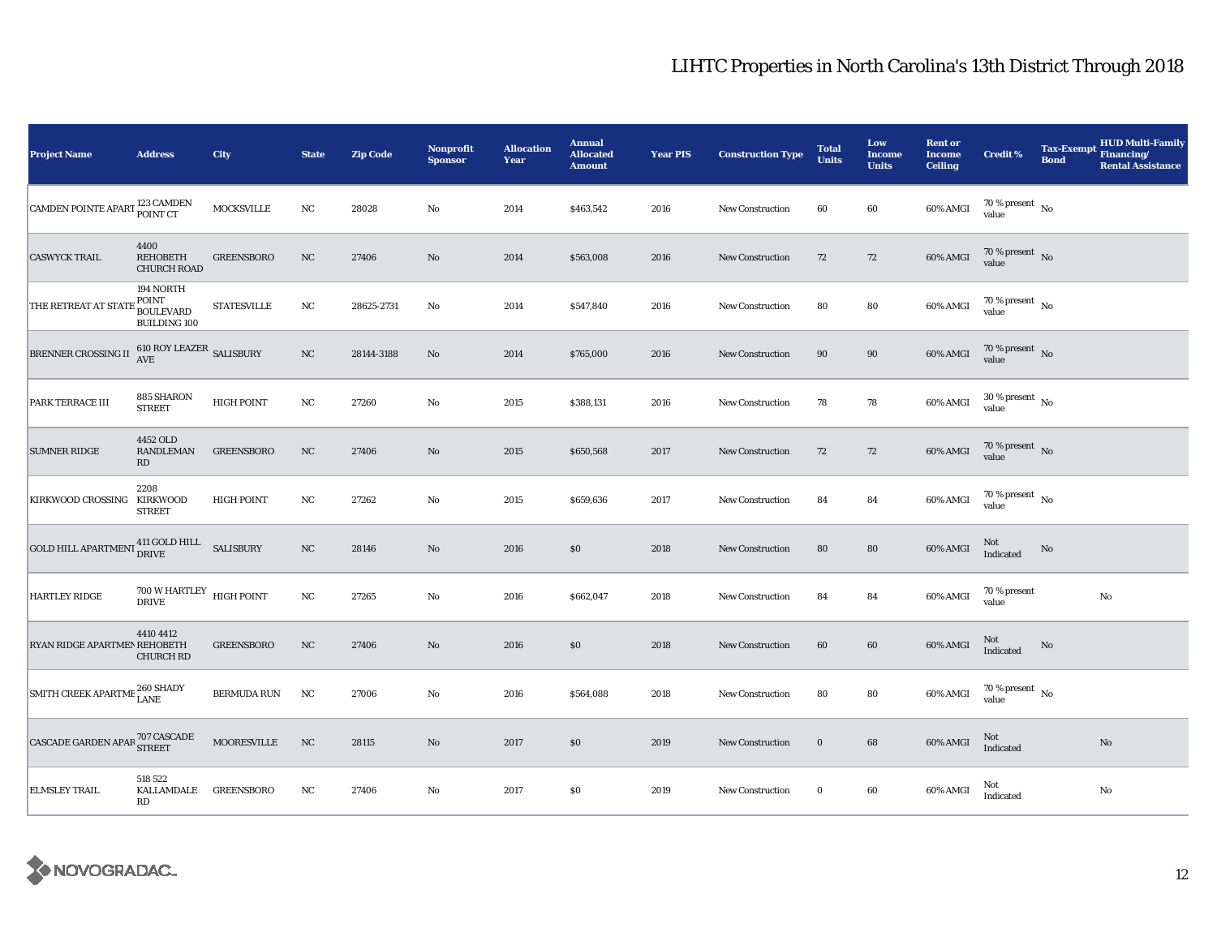| <b>Project Name</b>                                                                                                              | <b>Address</b>                                                     | City               | <b>State</b> | <b>Zip Code</b> | Nonprofit<br><b>Sponsor</b> | <b>Allocation</b><br>Year | <b>Annual</b><br><b>Allocated</b><br><b>Amount</b> | <b>Year PIS</b> | <b>Construction Type</b> | <b>Total</b><br><b>Units</b> | Low<br><b>Income</b><br><b>Units</b> | <b>Rent or</b><br><b>Income</b><br><b>Ceiling</b> | <b>Credit %</b>                        | <b>Tax-Exempt</b><br><b>Bond</b> | <b>HUD Multi-Family</b><br>Financing/<br><b>Rental Assistance</b> |
|----------------------------------------------------------------------------------------------------------------------------------|--------------------------------------------------------------------|--------------------|--------------|-----------------|-----------------------------|---------------------------|----------------------------------------------------|-----------------|--------------------------|------------------------------|--------------------------------------|---------------------------------------------------|----------------------------------------|----------------------------------|-------------------------------------------------------------------|
| CAMDEN POINTE APART <sup>123</sup> CAMDEN                                                                                        |                                                                    | MOCKSVILLE         | $_{\rm NC}$  | 28028           | $\rm No$                    | 2014                      | \$463,542                                          | 2016            | New Construction         | 60                           | 60                                   | 60% AMGI                                          | 70 % present $\hbox{~No}$<br>value     |                                  |                                                                   |
| <b>CASWYCK TRAIL</b>                                                                                                             | 4400<br>REHOBETH<br><b>CHURCH ROAD</b>                             | <b>GREENSBORO</b>  | $_{\rm NC}$  | 27406           | No                          | 2014                      | \$563,008                                          | 2016            | <b>New Construction</b>  | 72                           | 72                                   | 60% AMGI                                          | $70\%$ present No<br>value             |                                  |                                                                   |
| THE RETREAT AT STA?                                                                                                              | 194 NORTH<br>POINT<br>BOULEVARD<br><b>BUILDING 100</b>             | <b>STATESVILLE</b> | $_{\rm NC}$  | 28625-2731      | No                          | 2014                      | \$547,840                                          | 2016            | New Construction         | 80                           | ${\bf 80}$                           | 60% AMGI                                          | $70\,\%$ present $\,$ No value         |                                  |                                                                   |
| <b>BRENNER CROSSING II</b>                                                                                                       | $610\ {\rm ROY}$ LEAZER $$\sf SALISBURY$$ AVE                      |                    | NC           | 28144-3188      | No                          | 2014                      | \$765,000                                          | 2016            | <b>New Construction</b>  | 90                           | 90                                   | 60% AMGI                                          | $70\,\%$ present $\,$ No value         |                                  |                                                                   |
| <b>PARK TERRACE III</b>                                                                                                          | 885 SHARON<br><b>STREET</b>                                        | <b>HIGH POINT</b>  | $_{\rm NC}$  | 27260           | No                          | 2015                      | \$388,131                                          | 2016            | <b>New Construction</b>  | 78                           | 78                                   | 60% AMGI                                          | $30\,\%$ present $\,$ No value         |                                  |                                                                   |
| <b>SUMNER RIDGE</b>                                                                                                              | 4452 OLD<br>RANDLEMAN<br>RD                                        | <b>GREENSBORO</b>  | NC           | 27406           | No                          | 2015                      | \$650,568                                          | 2017            | New Construction         | 72                           | 72                                   | 60% AMGI                                          | $70\,\%$ present $\,$ No value         |                                  |                                                                   |
| KIRKWOOD CROSSING KIRKWOOD                                                                                                       | 2208<br><b>STREET</b>                                              | <b>HIGH POINT</b>  | NC           | 27262           | No                          | 2015                      | \$659,636                                          | 2017            | <b>New Construction</b>  | 84                           | 84                                   | 60% AMGI                                          | $70$ % present $_{\, \rm No}$<br>value |                                  |                                                                   |
| $\boxed{\textrm{GOLD HILL APARTMENT}}\begin{matrix} 411\ \textrm{GOLD HILL} & \textrm{SALISBURY} \\ \textrm{DRIVE} \end{matrix}$ |                                                                    |                    | NC           | 28146           | No                          | 2016                      | \$0                                                | 2018            | New Construction         | 80                           | 80                                   | 60% AMGI                                          | Not<br>Indicated                       | No                               |                                                                   |
| <b>HARTLEY RIDGE</b>                                                                                                             | $700\,\mathrm{W}\,\mathrm{HARTLEY}\,\,$ HIGH POINT<br><b>DRIVE</b> |                    | $_{\rm NC}$  | 27265           | $\rm No$                    | 2016                      | \$662,047                                          | 2018            | <b>New Construction</b>  | 84                           | 84                                   | 60% AMGI                                          | 70 % present<br>value                  |                                  | $\rm No$                                                          |
| RYAN RIDGE APARTMEN REHOBETH                                                                                                     | 4410 4412<br><b>CHURCH RD</b>                                      | <b>GREENSBORO</b>  | $_{\rm NC}$  | 27406           | $\rm No$                    | 2016                      | \$0                                                | 2018            | New Construction         | 60                           | 60                                   | 60% AMGI                                          | Not<br>Indicated                       | No                               |                                                                   |
| SMITH CREEK APARTME 260 SHADY                                                                                                    |                                                                    | <b>BERMUDA RUN</b> | $_{\rm NC}$  | 27006           | No                          | 2016                      | \$564,088                                          | 2018            | New Construction         | 80                           | 80                                   | 60% AMGI                                          | $70\,\%$ present $\,$ No value         |                                  |                                                                   |
| CASCADE GARDEN APAR <sup>707</sup> CASCADE                                                                                       |                                                                    | MOORESVILLE        | NC           | 28115           | No                          | 2017                      | \$0                                                | 2019            | <b>New Construction</b>  | $\bf{0}$                     | 68                                   | 60% AMGI                                          | Not<br>Indicated                       |                                  | $\rm No$                                                          |
| <b>ELMSLEY TRAIL</b>                                                                                                             | 518 522<br>KALLAMDALE GREENSBORO<br>RD                             |                    | NC           | 27406           | No                          | 2017                      | \$0                                                | 2019            | <b>New Construction</b>  | $\bf{0}$                     | 60                                   | 60% AMGI                                          | Not<br>Indicated                       |                                  | No                                                                |

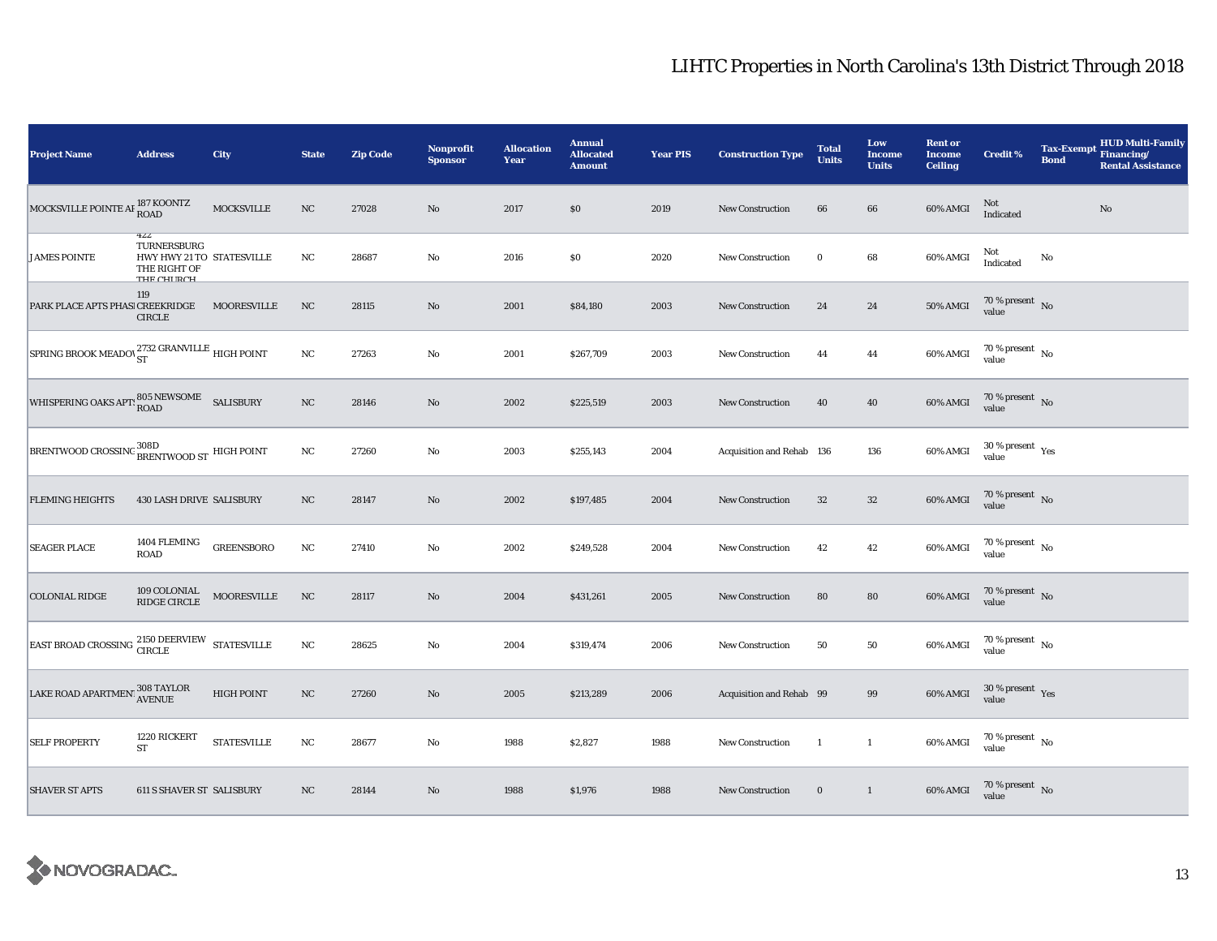| <b>Project Name</b>                                  | <b>Address</b>                                                                | City               | <b>State</b> | <b>Zip Code</b> | Nonprofit<br><b>Sponsor</b> | <b>Allocation</b><br>Year | <b>Annual</b><br><b>Allocated</b><br><b>Amount</b> | <b>Year PIS</b> | <b>Construction Type</b>  | <b>Total</b><br><b>Units</b> | Low<br><b>Income</b><br><b>Units</b> | <b>Rent or</b><br><b>Income</b><br><b>Ceiling</b> | <b>Credit %</b>                          | <b>Tax-Exempt</b><br><b>Bond</b> | <b>HUD Multi-Family</b><br>Financing/<br><b>Rental Assistance</b> |
|------------------------------------------------------|-------------------------------------------------------------------------------|--------------------|--------------|-----------------|-----------------------------|---------------------------|----------------------------------------------------|-----------------|---------------------------|------------------------------|--------------------------------------|---------------------------------------------------|------------------------------------------|----------------------------------|-------------------------------------------------------------------|
| MOCKSVILLE POINTE AF 187 KOONTZ                      |                                                                               | MOCKSVILLE         | $_{\rm NC}$  | 27028           | No                          | 2017                      | \$0                                                | 2019            | <b>New Construction</b>   | 66                           | 66                                   | 60% AMGI                                          | Not<br>Indicated                         |                                  | $\rm No$                                                          |
| <b>JAMES POINTE</b>                                  | 466<br>TURNERSBURG<br>HWY HWY 21 TO STATESVILLE<br>THE RIGHT OF<br>тик синоси |                    | NC           | 28687           | $\rm No$                    | 2016                      | $\$0$                                              | 2020            | <b>New Construction</b>   | $\bf{0}$                     | $\bf 68$                             | 60% AMGI                                          | Not<br>Indicated                         | $\mathbf{No}$                    |                                                                   |
| PARK PLACE APTS PHASI CREEKRIDGE                     | 119<br><b>CIRCLE</b>                                                          | MOORESVILLE        | $_{\rm NC}$  | 28115           | No                          | 2001                      | \$84,180                                           | 2003            | New Construction          | 24                           | ${\bf 24}$                           | 50% AMGI                                          | $70\,\%$ present $\,$ No value           |                                  |                                                                   |
| SPRING BROOK MEADOV ST GRANVILLE HIGH POINT          |                                                                               |                    | $_{\rm NC}$  | 27263           | $\rm No$                    | 2001                      | \$267,709                                          | 2003            | <b>New Construction</b>   | 44                           | 44                                   | 60% AMGI                                          | 70 % present $\hbox{~No}$<br>value       |                                  |                                                                   |
| WHISPERING OAKS APT: 805 NEWSOME SALISBURY           |                                                                               |                    | $_{\rm NC}$  | 28146           | $\rm No$                    | 2002                      | \$225,519                                          | 2003            | New Construction          | 40                           | ${\bf 40}$                           | 60% AMGI                                          | $70\,\%$ present $\,$ No value           |                                  |                                                                   |
| BRENTWOOD CROSSING BRENTWOOD ST HIGH POINT           |                                                                               |                    | $_{\rm NC}$  | 27260           | No                          | 2003                      | \$255,143                                          | 2004            | Acquisition and Rehab 136 |                              | 136                                  | 60% AMGI                                          | $30\,\%$ present $\,$ Yes value          |                                  |                                                                   |
| <b>FLEMING HEIGHTS</b>                               | <b>430 LASH DRIVE SALISBURY</b>                                               |                    | NC           | 28147           | $\rm No$                    | 2002                      | \$197,485                                          | 2004            | <b>New Construction</b>   | 32                           | ${\bf 32}$                           | 60% AMGI                                          | $70\,\%$ present $\,$ No value           |                                  |                                                                   |
| <b>SEAGER PLACE</b>                                  | 1404 FLEMING<br>ROAD                                                          | <b>GREENSBORO</b>  | $_{\rm NC}$  | 27410           | $\rm No$                    | 2002                      | \$249,528                                          | 2004            | <b>New Construction</b>   | 42                           | $42\,$                               | 60% AMGI                                          | $70\,\%$ present $\,$ No value           |                                  |                                                                   |
| <b>COLONIAL RIDGE</b>                                | 109 COLONIAL<br>RIDGE CIRCLE                                                  | <b>MOORESVILLE</b> | $_{\rm NC}$  | 28117           | $\rm No$                    | 2004                      | \$431,261                                          | 2005            | New Construction          | 80                           | 80                                   | 60% AMGI                                          | $70\,\%$ present $\,$ No value           |                                  |                                                                   |
| EAST BROAD CROSSING $^{2150}_{CIRCLE}$ STATESVILLE   |                                                                               |                    | $_{\rm NC}$  | 28625           | $\rm No$                    | 2004                      | \$319,474                                          | 2006            | New Construction          | 50                           | 50                                   | 60% AMGI                                          | $70\,\%$ present $\,$ No $\,$<br>value   |                                  |                                                                   |
| LAKE ROAD APARTMENT $_{\rm AVENUE}^{308\rm\,TAYLOR}$ |                                                                               | <b>HIGH POINT</b>  | NC           | 27260           | No                          | 2005                      | \$213,289                                          | 2006            | Acquisition and Rehab 99  |                              | 99                                   | 60% AMGI                                          | $30\,\%$ present $\,$ $\rm Yes$<br>value |                                  |                                                                   |
| <b>SELF PROPERTY</b>                                 | 1220 RICKERT<br><b>ST</b>                                                     | <b>STATESVILLE</b> | $_{\rm NC}$  | 28677           | $\mathbf{No}$               | 1988                      | \$2,827                                            | 1988            | New Construction          | -1                           | $\mathbf{1}$                         | 60% AMGI                                          | $70\,\%$ present $\,$ No value           |                                  |                                                                   |
| <b>SHAVER ST APTS</b>                                | <b>611 S SHAVER ST SALISBURY</b>                                              |                    | NC           | 28144           | No                          | 1988                      | \$1,976                                            | 1988            | <b>New Construction</b>   | $\bf{0}$                     | $\mathbf{1}$                         | 60% AMGI                                          | $70$ % present $\,$ No $\,$ value        |                                  |                                                                   |

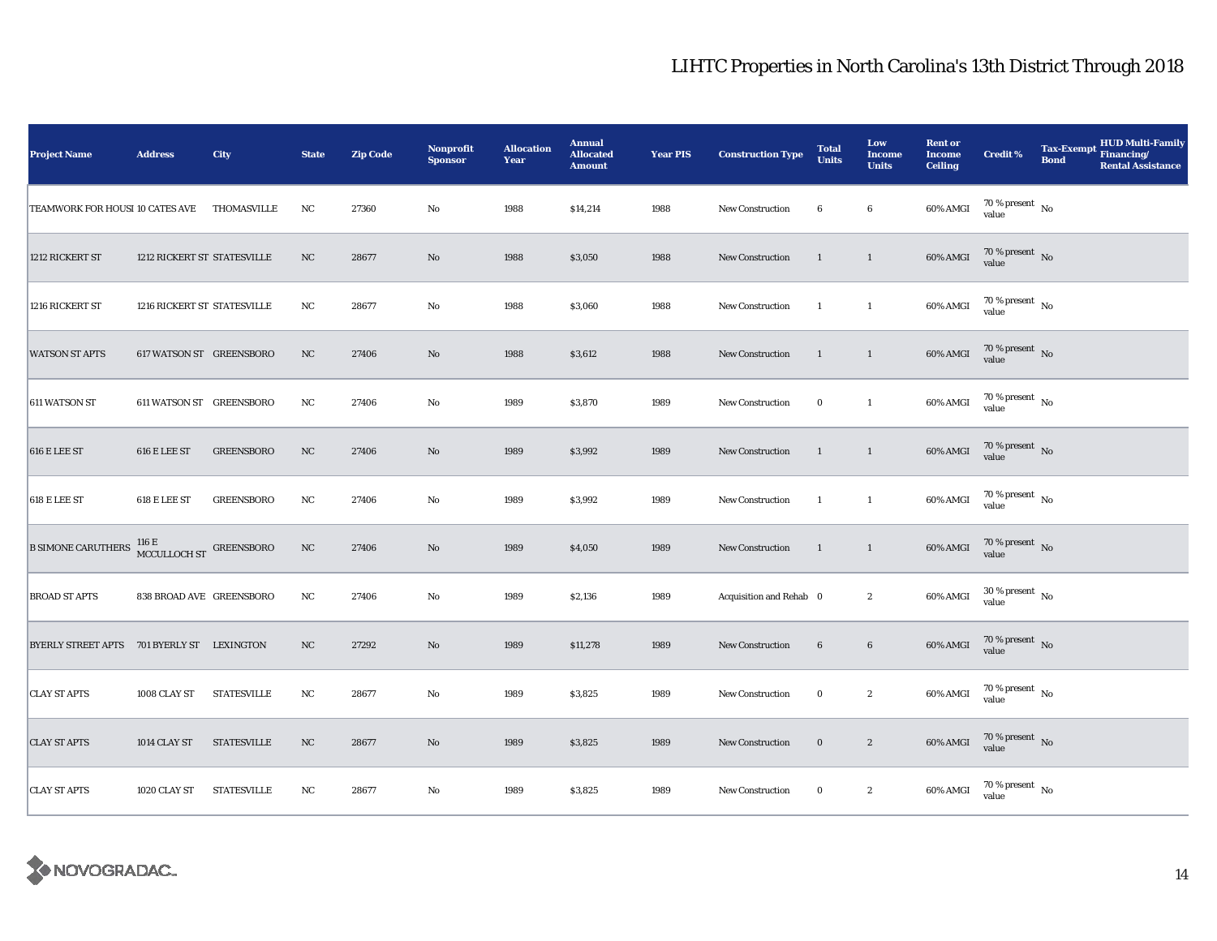| <b>Project Name</b>                        | <b>Address</b>              | City               | <b>State</b> | <b>Zip Code</b> | <b>Nonprofit</b><br><b>Sponsor</b> | <b>Allocation</b><br>Year | <b>Annual</b><br><b>Allocated</b><br><b>Amount</b> | <b>Year PIS</b> | <b>Construction Type</b> | <b>Total</b><br><b>Units</b> | Low<br><b>Income</b><br><b>Units</b> | <b>Rent or</b><br><b>Income</b><br><b>Ceiling</b> | <b>Credit %</b>                        | <b>HUD Multi-Family</b><br>Tax-Exempt Financing/<br><b>Bond</b><br><b>Rental Assistance</b> |
|--------------------------------------------|-----------------------------|--------------------|--------------|-----------------|------------------------------------|---------------------------|----------------------------------------------------|-----------------|--------------------------|------------------------------|--------------------------------------|---------------------------------------------------|----------------------------------------|---------------------------------------------------------------------------------------------|
| TEAMWORK FOR HOUSI 10 CATES AVE            |                             | THOMASVILLE        | NC           | 27360           | $\mathbf {No}$                     | 1988                      | \$14,214                                           | 1988            | New Construction         | 6                            | $\bf 6$                              | 60% AMGI                                          | $70\,\%$ present $\,$ No value         |                                                                                             |
| 1212 RICKERT ST                            | 1212 RICKERT ST STATESVILLE |                    | $_{\rm NC}$  | 28677           | No                                 | 1988                      | \$3,050                                            | 1988            | New Construction         | $\mathbf{1}$                 | $\mathbf{1}$                         | 60% AMGI                                          | $70\%$ present No<br>value             |                                                                                             |
| 1216 RICKERT ST                            | 1216 RICKERT ST STATESVILLE |                    | $_{\rm NC}$  | 28677           | No                                 | 1988                      | \$3,060                                            | 1988            | New Construction         | $\mathbf{1}$                 | $\mathbf{1}$                         | 60% AMGI                                          | $70\,\%$ present $\,$ No value         |                                                                                             |
| <b>WATSON ST APTS</b>                      | 617 WATSON ST GREENSBORO    |                    | NC           | 27406           | $\rm No$                           | 1988                      | \$3,612                                            | 1988            | New Construction         | 1                            | $\mathbf{1}$                         | 60% AMGI                                          | $70\,\%$ present $\;$ No value         |                                                                                             |
| 611 WATSON ST                              | 611 WATSON ST GREENSBORO    |                    | $_{\rm NC}$  | 27406           | No                                 | 1989                      | \$3,870                                            | 1989            | New Construction         | $\bf{0}$                     | $\mathbf{1}$                         | 60% AMGI                                          | 70 % present $\hbox{~No}$<br>value     |                                                                                             |
| 616 E LEE ST                               | 616 E LEE ST                | <b>GREENSBORO</b>  | NC           | 27406           | No                                 | 1989                      | \$3,992                                            | 1989            | New Construction         | $\mathbf{1}$                 | $\mathbf{1}$                         | $60\%$ AMGI                                       | $70\,\%$ present $\,$ No value         |                                                                                             |
| $618$ E LEE ST                             | 618 E LEE ST                | <b>GREENSBORO</b>  | $_{\rm NC}$  | 27406           | $\rm No$                           | 1989                      | \$3,992                                            | 1989            | New Construction         | $\mathbf{1}$                 | $\mathbf{1}$                         | 60% AMGI                                          | $70\,\%$ present $\,$ No value         |                                                                                             |
| <b>B SIMONE CARUTHERS</b>                  | MCCULLOCH ST GREENSBORO     |                    | $_{\rm NC}$  | 27406           | $\rm No$                           | 1989                      | \$4,050                                            | 1989            | New Construction         | 1                            | $\mathbf{1}$                         | 60% AMGI                                          | $70\,\%$ present $\,$ No value         |                                                                                             |
| <b>BROAD ST APTS</b>                       | 838 BROAD AVE GREENSBORO    |                    | $_{\rm NC}$  | 27406           | No                                 | 1989                      | \$2,136                                            | 1989            | Acquisition and Rehab 0  |                              | $\boldsymbol{2}$                     | $60\%$ AMGI                                       | $30\,\%$ present $\,$ No value         |                                                                                             |
| BYERLY STREET APTS 701 BYERLY ST LEXINGTON |                             |                    | NC           | 27292           | $\rm No$                           | 1989                      | \$11,278                                           | 1989            | <b>New Construction</b>  | $6\phantom{.}6$              | $\bf 6$                              | 60% AMGI                                          | $70\,\%$ present $\,$ No value         |                                                                                             |
| <b>CLAY ST APTS</b>                        | 1008 CLAY ST                | <b>STATESVILLE</b> | $_{\rm NC}$  | 28677           | $\mathbf{No}$                      | 1989                      | \$3,825                                            | 1989            | <b>New Construction</b>  | $\bf{0}$                     | $\boldsymbol{2}$                     | 60% AMGI                                          | $70\,\%$ present $\,$ No value         |                                                                                             |
| <b>CLAY ST APTS</b>                        | 1014 CLAY ST                | <b>STATESVILLE</b> | NC           | 28677           | $\rm No$                           | 1989                      | \$3,825                                            | 1989            | New Construction         | $\bf{0}$                     | $\boldsymbol{2}$                     | 60% AMGI                                          | $70\,\%$ present $${\rm No}$$ value    |                                                                                             |
| <b>CLAY ST APTS</b>                        | 1020 CLAY ST                | <b>STATESVILLE</b> | NC           | 28677           | No                                 | 1989                      | \$3,825                                            | 1989            | New Construction         | $\bf{0}$                     | $\boldsymbol{2}$                     | 60% AMGI                                          | $70\,\%$ present $\,$ No $\,$<br>value |                                                                                             |

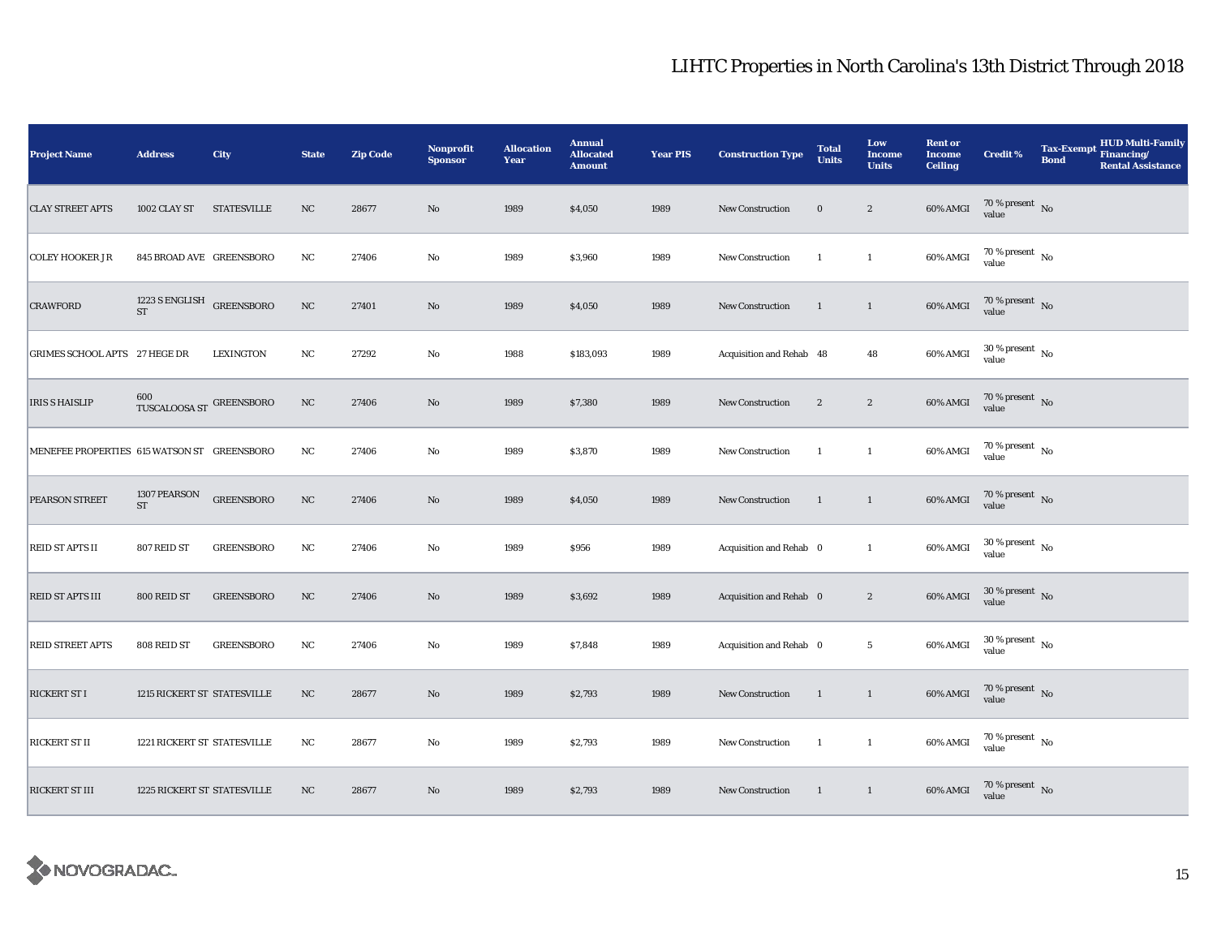| <b>Project Name</b>                         | <b>Address</b>                          | City               | <b>State</b> | <b>Zip Code</b> | <b>Nonprofit</b><br><b>Sponsor</b> | <b>Allocation</b><br>Year | <b>Annual</b><br><b>Allocated</b><br><b>Amount</b> | <b>Year PIS</b> | <b>Construction Type</b> | <b>Total</b><br><b>Units</b> | Low<br><b>Income</b><br><b>Units</b> | <b>Rent or</b><br><b>Income</b><br><b>Ceiling</b> | <b>Credit %</b>                        | <b>Tax-Exempt</b><br><b>Bond</b> | <b>HUD Multi-Family</b><br>Financing/<br><b>Rental Assistance</b> |
|---------------------------------------------|-----------------------------------------|--------------------|--------------|-----------------|------------------------------------|---------------------------|----------------------------------------------------|-----------------|--------------------------|------------------------------|--------------------------------------|---------------------------------------------------|----------------------------------------|----------------------------------|-------------------------------------------------------------------|
| <b>CLAY STREET APTS</b>                     | 1002 CLAY ST                            | <b>STATESVILLE</b> | NC           | 28677           | $\rm No$                           | 1989                      | \$4,050                                            | 1989            | New Construction         | $\bf{0}$                     | $\boldsymbol{2}$                     | 60% AMGI                                          | 70 % present $\hbox{~No}$<br>value     |                                  |                                                                   |
| <b>COLEY HOOKER JR</b>                      | 845 BROAD AVE GREENSBORO                |                    | NC           | 27406           | $\rm No$                           | 1989                      | \$3,960                                            | 1989            | <b>New Construction</b>  | $\mathbf{1}$                 | $\mathbf{1}$                         | 60% AMGI                                          | $70\,\%$ present $\,$ No $\,$<br>value |                                  |                                                                   |
| <b>CRAWFORD</b>                             | 1223 S ENGLISH GREENSBORO<br>${\rm ST}$ |                    | $_{\rm NC}$  | 27401           | $\rm No$                           | 1989                      | \$4,050                                            | 1989            | <b>New Construction</b>  | 1                            | $\mathbf{1}$                         | 60% AMGI                                          | $70\,\%$ present $\,$ No value         |                                  |                                                                   |
| GRIMES SCHOOL APTS 27 HEGE DR               |                                         | <b>LEXINGTON</b>   | $_{\rm NC}$  | 27292           | No                                 | 1988                      | \$183,093                                          | 1989            | Acquisition and Rehab 48 |                              | 48                                   | $60\%$ AMGI                                       | $30\,\%$ present $\,$ No value         |                                  |                                                                   |
| <b>IRIS S HAISLIP</b>                       | 600<br>TUSCALOOSA ST $\,$ GREENSBORO    |                    | NC           | 27406           | No                                 | 1989                      | \$7,380                                            | 1989            | <b>New Construction</b>  | $\boldsymbol{2}$             | $\boldsymbol{2}$                     | 60% AMGI                                          | $70\,\%$ present $\,$ No value         |                                  |                                                                   |
| MENEFEE PROPERTIES 615 WATSON ST GREENSBORO |                                         |                    | $_{\rm NC}$  | 27406           | $\rm No$                           | 1989                      | \$3,870                                            | 1989            | New Construction         | $\mathbf{1}$                 | $\mathbf{1}$                         | 60% AMGI                                          | $70$ % present $\,$ No $\,$<br>value   |                                  |                                                                   |
| PEARSON STREET                              | 1307 PEARSON<br>$\operatorname{ST}$     | <b>GREENSBORO</b>  | NC           | 27406           | $\rm No$                           | 1989                      | \$4,050                                            | 1989            | New Construction         | 1                            | $\mathbf{1}$                         | 60% AMGI                                          | $70\,\%$ present $\,$ No value         |                                  |                                                                   |
| REID ST APTS II                             | 807 REID ST                             | <b>GREENSBORO</b>  | $_{\rm NC}$  | 27406           | $\rm No$                           | 1989                      | \$956                                              | 1989            | Acquisition and Rehab 0  |                              | $\mathbf{1}$                         | 60% AMGI                                          | $30$ % present $\,$ No $\,$<br>value   |                                  |                                                                   |
| REID ST APTS III                            | 800 REID ST                             | <b>GREENSBORO</b>  | $_{\rm NC}$  | 27406           | No                                 | 1989                      | \$3,692                                            | 1989            | Acquisition and Rehab 0  |                              | $\boldsymbol{2}$                     | 60% AMGI                                          | $30\,\%$ present $\,$ No value         |                                  |                                                                   |
| <b>REID STREET APTS</b>                     | 808 REID ST                             | <b>GREENSBORO</b>  | $_{\rm NC}$  | 27406           | No                                 | 1989                      | \$7,848                                            | 1989            | Acquisition and Rehab 0  |                              | $5\phantom{.0}$                      | 60% AMGI                                          | $30\,\%$ present $\,$ No value         |                                  |                                                                   |
| <b>RICKERT ST I</b>                         | 1215 RICKERT ST STATESVILLE             |                    | NC           | 28677           | $\mathbf{N}\mathbf{o}$             | 1989                      | \$2,793                                            | 1989            | <b>New Construction</b>  | 1                            | $\mathbf{1}$                         | 60% AMGI                                          | $70\,\%$ present $\,$ No value         |                                  |                                                                   |
| <b>RICKERT ST II</b>                        | 1221 RICKERT ST STATESVILLE             |                    | $_{\rm NC}$  | 28677           | No                                 | 1989                      | \$2,793                                            | 1989            | <b>New Construction</b>  | $\mathbf{1}$                 | $\mathbf{1}$                         | 60% AMGI                                          | $70\,\%$ present $\,$ No value         |                                  |                                                                   |
| <b>RICKERT ST III</b>                       | <b>1225 RICKERT ST STATESVILLE</b>      |                    | NC           | 28677           | No                                 | 1989                      | \$2,793                                            | 1989            | New Construction         | $\mathbf{1}$                 | $\mathbf{1}$                         | 60% AMGI                                          | $70\,\%$ present $\,$ No value         |                                  |                                                                   |

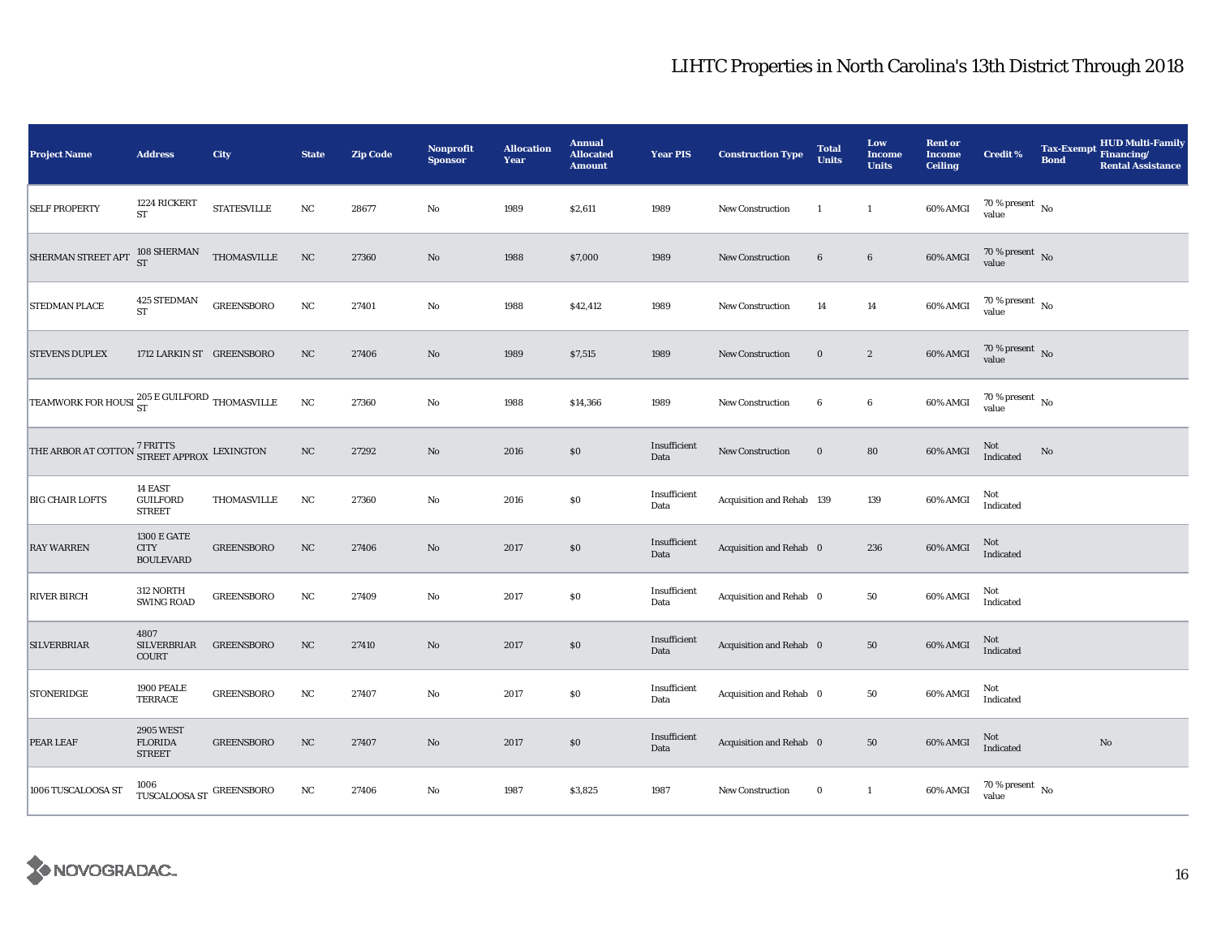| <b>Project Name</b>                                                          | <b>Address</b>                                        | City               | <b>State</b>     | <b>Zip Code</b> | Nonprofit<br><b>Sponsor</b> | <b>Allocation</b><br>Year | <b>Annual</b><br><b>Allocated</b><br><b>Amount</b> | <b>Year PIS</b>      | <b>Construction Type</b>  | <b>Total</b><br><b>Units</b> | Low<br>Income<br><b>Units</b> | <b>Rent or</b><br><b>Income</b><br><b>Ceiling</b> | <b>Credit %</b>                      | <b>Tax-Exempt</b><br><b>Bond</b> | HUD Multi-Family<br>Financing/<br><b>Rental Assistance</b> |
|------------------------------------------------------------------------------|-------------------------------------------------------|--------------------|------------------|-----------------|-----------------------------|---------------------------|----------------------------------------------------|----------------------|---------------------------|------------------------------|-------------------------------|---------------------------------------------------|--------------------------------------|----------------------------------|------------------------------------------------------------|
| <b>SELF PROPERTY</b>                                                         | 1224 RICKERT<br><b>ST</b>                             | <b>STATESVILLE</b> | $_{\rm NC}$      | 28677           | $\mathbf{No}$               | 1989                      | \$2,611                                            | 1989                 | New Construction          | $\mathbf{1}$                 | $\mathbf{1}$                  | 60% AMGI                                          | $70$ % present $\,$ No $\,$<br>value |                                  |                                                            |
| SHERMAN STREET APT                                                           | $108$ SHERMAN $\rm ST$                                | THOMASVILLE        | $_{\rm NC}$      | 27360           | No                          | 1988                      | \$7,000                                            | 1989                 | <b>New Construction</b>   | $6\phantom{.}6$              | $\bf 6$                       | 60% AMGI                                          | $70\,\%$ present $\,$ No value       |                                  |                                                            |
| STEDMAN PLACE                                                                | 425 STEDMAN<br>ST                                     | <b>GREENSBORO</b>  | $_{\rm NC}$      | 27401           | $\rm No$                    | 1988                      | \$42,412                                           | 1989                 | <b>New Construction</b>   | 14                           | $14\,$                        | 60% AMGI                                          | $70\,\%$ present $\,$ No value       |                                  |                                                            |
| <b>STEVENS DUPLEX</b>                                                        | 1712 LARKIN ST GREENSBORO                             |                    | NC               | 27406           | No                          | 1989                      | \$7,515                                            | 1989                 | New Construction          | $\bf{0}$                     | $\boldsymbol{2}$              | 60% AMGI                                          | $70\,\%$ present $\,$ No value       |                                  |                                                            |
| TEAMWORK FOR HOUSI $_{\rm ST}^{205\, \rm E\, GULFORD}$ THOMASVILLE           |                                                       |                    | $_{\rm NC}$      | 27360           | No                          | 1988                      | \$14,366                                           | 1989                 | New Construction          | 6                            | $\boldsymbol{6}$              | 60% AMGI                                          | $70\,\%$ present $\,$ No value       |                                  |                                                            |
| THE ARBOR AT COTTON $\frac{7 \text{ FRTTS}}{\text{STREET APPROX}}$ LEXINGTON |                                                       |                    | $_{\rm NC}$      | 27292           | $\rm No$                    | 2016                      | $\$0$                                              | Insufficient<br>Data | New Construction          | $\bf{0}$                     | 80                            | 60% AMGI                                          | Not<br>Indicated                     | No                               |                                                            |
| <b>BIG CHAIR LOFTS</b>                                                       | 14 EAST<br><b>GUILFORD</b><br><b>STREET</b>           | THOMASVILLE        | NC               | 27360           | $\rm No$                    | 2016                      | \$0                                                | Insufficient<br>Data | Acquisition and Rehab 139 |                              | 139                           | 60% AMGI                                          | Not<br>Indicated                     |                                  |                                                            |
| <b>RAY WARREN</b>                                                            | <b>1300 E GATE</b><br><b>CITY</b><br><b>BOULEVARD</b> | <b>GREENSBORO</b>  | $_{\mathrm{NC}}$ | 27406           | $\rm No$                    | 2017                      | $\$0$                                              | Insufficient<br>Data | Acquisition and Rehab 0   |                              | 236                           | 60% AMGI                                          | Not<br>Indicated                     |                                  |                                                            |
| <b>RIVER BIRCH</b>                                                           | 312 NORTH<br><b>SWING ROAD</b>                        | <b>GREENSBORO</b>  | $_{\rm NC}$      | 27409           | $\mathbf{No}$               | 2017                      | $\$0$                                              | Insufficient<br>Data | Acquisition and Rehab 0   |                              | ${\bf 50}$                    | 60% AMGI                                          | Not<br>Indicated                     |                                  |                                                            |
| <b>SILVERBRIAR</b>                                                           | 4807<br>SILVERBRIAR<br>COURT                          | <b>GREENSBORO</b>  | $_{\rm NC}$      | 27410           | No                          | 2017                      | \$0                                                | Insufficient<br>Data | Acquisition and Rehab 0   |                              | ${\bf 50}$                    | 60% AMGI                                          | Not<br>Indicated                     |                                  |                                                            |
| <b>STONERIDGE</b>                                                            | 1900 PEALE<br><b>TERRACE</b>                          | <b>GREENSBORO</b>  | $_{\rm NC}$      | 27407           | No                          | 2017                      | $\$0$                                              | Insufficient<br>Data | Acquisition and Rehab 0   |                              | 50                            | 60% AMGI                                          | Not<br>Indicated                     |                                  |                                                            |
| PEAR LEAF                                                                    | <b>2905 WEST</b><br><b>FLORIDA</b><br><b>STREET</b>   | <b>GREENSBORO</b>  | NC               | 27407           | $\rm No$                    | 2017                      | \$0                                                | Insufficient<br>Data | Acquisition and Rehab 0   |                              | 50                            | 60% AMGI                                          | Not<br>Indicated                     |                                  | $\rm No$                                                   |
| 1006 TUSCALOOSA ST                                                           | 1006<br>TUSCALOOSA ST $\,$ GREENSBORO                 |                    | $_{\rm NC}$      | 27406           | No                          | 1987                      | \$3,825                                            | 1987                 | New Construction          | $\bf{0}$                     | $\mathbf{1}$                  | 60% AMGI                                          | $70$ % present $\,$ No $\,$<br>value |                                  |                                                            |

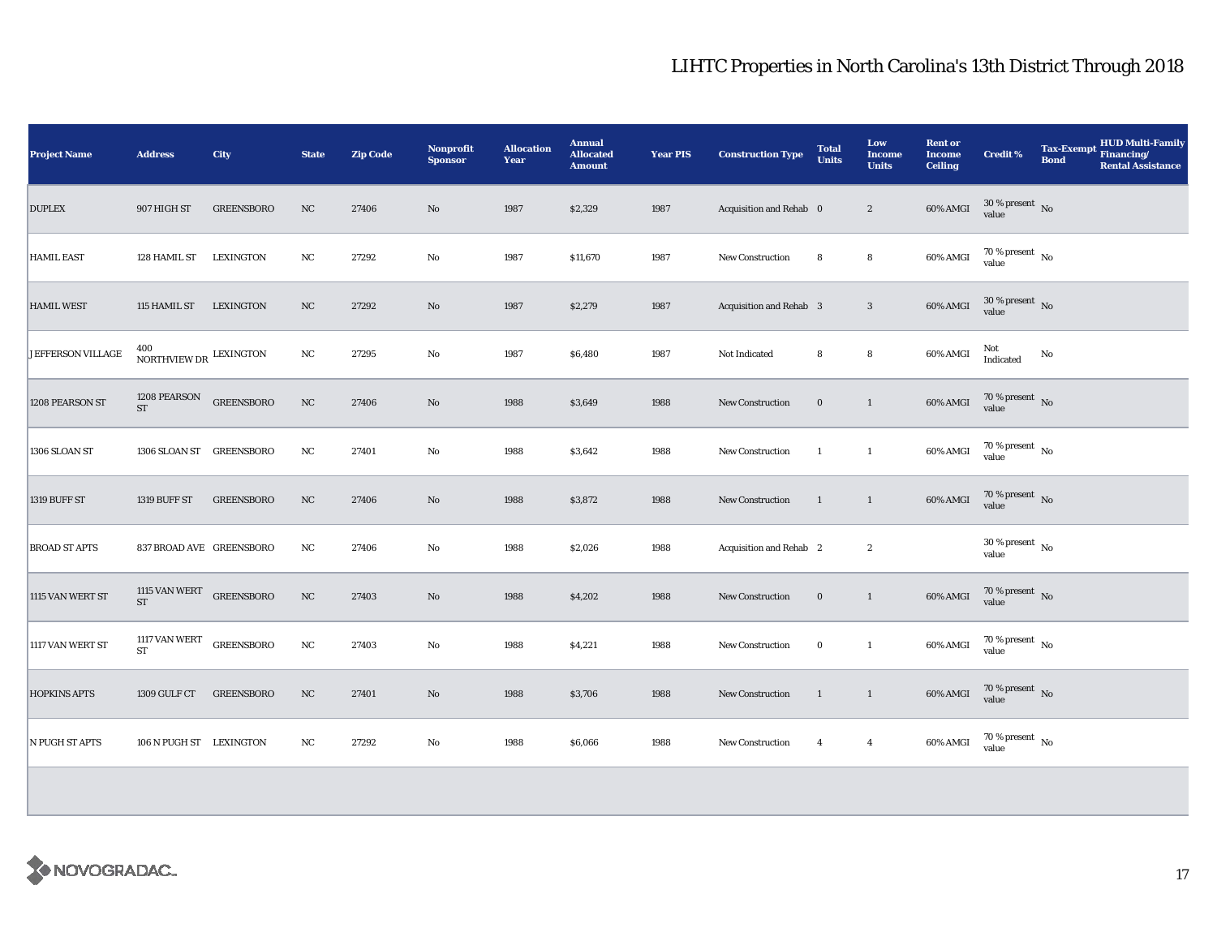| <b>Project Name</b>  | <b>Address</b>                              | City              | <b>State</b> | <b>Zip Code</b> | <b>Nonprofit</b><br><b>Sponsor</b> | <b>Allocation</b><br>Year | <b>Annual</b><br><b>Allocated</b><br><b>Amount</b> | <b>Year PIS</b> | <b>Construction Type</b> | <b>Total</b><br><b>Units</b> | Low<br><b>Income</b><br><b>Units</b> | <b>Rent or</b><br><b>Income</b><br><b>Ceiling</b> | <b>Credit %</b>                | Tax-Exempt HUD Multi-Family<br>Financing/<br><b>Bond</b><br><b>Rental Assistance</b> |
|----------------------|---------------------------------------------|-------------------|--------------|-----------------|------------------------------------|---------------------------|----------------------------------------------------|-----------------|--------------------------|------------------------------|--------------------------------------|---------------------------------------------------|--------------------------------|--------------------------------------------------------------------------------------|
| <b>DUPLEX</b>        | 907 HIGH ST                                 | <b>GREENSBORO</b> | NC           | 27406           | $\rm No$                           | 1987                      | \$2,329                                            | 1987            | Acquisition and Rehab 0  |                              | $\sqrt{2}$                           | $60\%$ AMGI                                       | $30\,\%$ present $\,$ No value |                                                                                      |
| HAMIL EAST           | 128 HAMIL ST                                | LEXINGTON         | NC           | 27292           | No                                 | 1987                      | \$11,670                                           | 1987            | New Construction         | 8                            | 8                                    | 60% AMGI                                          | $70\,\%$ present $\,$ No value |                                                                                      |
| <b>HAMIL WEST</b>    | 115 HAMIL ST                                | <b>LEXINGTON</b>  | NC           | 27292           | No                                 | 1987                      | \$2,279                                            | 1987            | Acquisition and Rehab 3  |                              | $\mathbf{3}$                         | 60% AMGI                                          | $30$ % present $\,$ No value   |                                                                                      |
| JEFFERSON VILLAGE    | NORTHVIEW DR LEXINGTON                      |                   | $_{\rm NC}$  | 27295           | No                                 | 1987                      | \$6,480                                            | 1987            | Not Indicated            | 8                            | 8                                    | 60% AMGI                                          | Not<br>Indicated               | $\mathbf{N}\mathbf{o}$                                                               |
| 1208 PEARSON ST      | 1208 PEARSON GREENSBORO<br>${\rm ST}$       |                   | $_{\rm NC}$  | 27406           | No                                 | 1988                      | \$3,649                                            | 1988            | <b>New Construction</b>  | $\bf{0}$                     | $\mathbf{1}$                         | 60% AMGI                                          | $70$ % present $\,$ No value   |                                                                                      |
| 1306 SLOAN ST        | 1306 SLOAN ST GREENSBORO                    |                   | NC           | 27401           | No                                 | 1988                      | \$3,642                                            | 1988            | New Construction         | $\mathbf{1}$                 | $\mathbf{1}$                         | 60% AMGI                                          | $70\,\%$ present $\,$ No value |                                                                                      |
| 1319 BUFF ST         | <b>1319 BUFF ST</b>                         | <b>GREENSBORO</b> | NC           | 27406           | No                                 | 1988                      | \$3,872                                            | 1988            | <b>New Construction</b>  | $\mathbf{1}$                 | $\mathbf{1}$                         | 60% AMGI                                          | $70\,\%$ present $\;$ No value |                                                                                      |
| <b>BROAD ST APTS</b> | 837 BROAD AVE GREENSBORO                    |                   | $_{\rm NC}$  | 27406           | No                                 | 1988                      | \$2,026                                            | 1988            | Acquisition and Rehab 2  |                              | $\boldsymbol{2}$                     |                                                   | $30\,\%$ present $\,$ No value |                                                                                      |
| 1115 VAN WERT ST     | 1115 VAN WERT $\rm$ GREENSBORO<br><b>ST</b> |                   | NC           | 27403           | $\rm No$                           | 1988                      | \$4,202                                            | 1988            | New Construction         | $\bf{0}$                     | $\mathbf{1}$                         | 60% AMGI                                          | $70\,\%$ present $\;$ No value |                                                                                      |
| 1117 VAN WERT ST     | 1117 VAN WERT $\rm_{GREENSBORO}$<br>ST      |                   | $_{\rm NC}$  | 27403           | $\rm No$                           | 1988                      | \$4,221                                            | 1988            | <b>New Construction</b>  | $\bf{0}$                     | $\mathbf{1}$                         | 60% AMGI                                          | $70\,\%$ present $\,$ No value |                                                                                      |
| <b>HOPKINS APTS</b>  | 1309 GULF CT                                | <b>GREENSBORO</b> | NC           | 27401           | No                                 | 1988                      | \$3,706                                            | 1988            | <b>New Construction</b>  | 1                            | $\mathbf{1}$                         | 60% AMGI                                          | $70\,\%$ present $\;$ No value |                                                                                      |
| N PUGH ST APTS       | 106 N PUGH ST LEXINGTON                     |                   | $_{\rm NC}$  | 27292           | $\rm No$                           | 1988                      | \$6,066                                            | 1988            | New Construction         | $\overline{4}$               | $\overline{4}$                       | 60% AMGI                                          | $70\,\%$ present $\,$ No value |                                                                                      |
|                      |                                             |                   |              |                 |                                    |                           |                                                    |                 |                          |                              |                                      |                                                   |                                |                                                                                      |